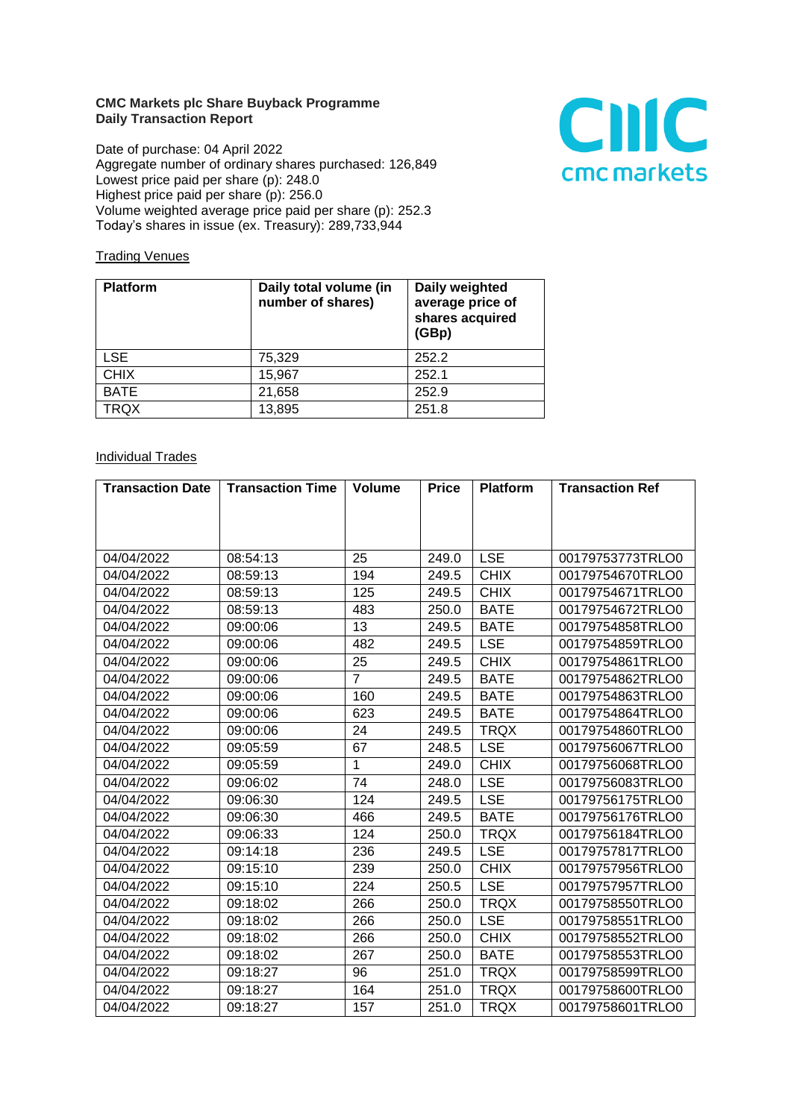## **CMC Markets plc Share Buyback Programme Daily Transaction Report**

Date of purchase: 04 April 2022 Aggregate number of ordinary shares purchased: 126,849 Lowest price paid per share (p): 248.0 Highest price paid per share (p): 256.0 Volume weighted average price paid per share (p): 252.3 Today's shares in issue (ex. Treasury): 289,733,944



## **Trading Venues**

| <b>Platform</b> | Daily total volume (in<br>number of shares) | Daily weighted<br>average price of<br>shares acquired<br>(GBp) |
|-----------------|---------------------------------------------|----------------------------------------------------------------|
| <b>LSE</b>      | 75,329                                      | 252.2                                                          |
| <b>CHIX</b>     | 15,967                                      | 252.1                                                          |
| <b>BATE</b>     | 21,658                                      | 252.9                                                          |
| <b>TRQX</b>     | 13,895                                      | 251.8                                                          |

## **Individual Trades**

| <b>Transaction Date</b> | <b>Transaction Time</b> | <b>Volume</b>  | <b>Price</b> | <b>Platform</b> | <b>Transaction Ref</b> |
|-------------------------|-------------------------|----------------|--------------|-----------------|------------------------|
|                         |                         |                |              |                 |                        |
|                         |                         |                |              |                 |                        |
|                         |                         |                |              |                 |                        |
| 04/04/2022              | 08:54:13                | 25             | 249.0        | <b>LSE</b>      | 00179753773TRLO0       |
| 04/04/2022              | 08:59:13                | 194            | 249.5        | <b>CHIX</b>     | 00179754670TRLO0       |
| 04/04/2022              | 08:59:13                | 125            | 249.5        | <b>CHIX</b>     | 00179754671TRLO0       |
| 04/04/2022              | 08:59:13                | 483            | 250.0        | <b>BATE</b>     | 00179754672TRLO0       |
| 04/04/2022              | 09:00:06                | 13             | 249.5        | <b>BATE</b>     | 00179754858TRLO0       |
| 04/04/2022              | 09:00:06                | 482            | 249.5        | <b>LSE</b>      | 00179754859TRLO0       |
| 04/04/2022              | 09:00:06                | 25             | 249.5        | <b>CHIX</b>     | 00179754861TRLO0       |
| 04/04/2022              | 09:00:06                | $\overline{7}$ | 249.5        | <b>BATE</b>     | 00179754862TRLO0       |
| 04/04/2022              | 09:00:06                | 160            | 249.5        | <b>BATE</b>     | 00179754863TRLO0       |
| 04/04/2022              | 09:00:06                | 623            | 249.5        | <b>BATE</b>     | 00179754864TRLO0       |
| 04/04/2022              | 09:00:06                | 24             | 249.5        | <b>TRQX</b>     | 00179754860TRLO0       |
| 04/04/2022              | 09:05:59                | 67             | 248.5        | <b>LSE</b>      | 00179756067TRLO0       |
| 04/04/2022              | 09:05:59                | 1              | 249.0        | <b>CHIX</b>     | 00179756068TRLO0       |
| 04/04/2022              | 09:06:02                | 74             | 248.0        | <b>LSE</b>      | 00179756083TRLO0       |
| 04/04/2022              | 09:06:30                | 124            | 249.5        | <b>LSE</b>      | 00179756175TRLO0       |
| 04/04/2022              | 09:06:30                | 466            | 249.5        | <b>BATE</b>     | 00179756176TRLO0       |
| 04/04/2022              | 09:06:33                | 124            | 250.0        | <b>TRQX</b>     | 00179756184TRLO0       |
| 04/04/2022              | 09:14:18                | 236            | 249.5        | <b>LSE</b>      | 00179757817TRLO0       |
| 04/04/2022              | 09:15:10                | 239            | 250.0        | <b>CHIX</b>     | 00179757956TRLO0       |
| 04/04/2022              | 09:15:10                | 224            | 250.5        | <b>LSE</b>      | 00179757957TRLO0       |
| 04/04/2022              | 09:18:02                | 266            | 250.0        | <b>TRQX</b>     | 00179758550TRLO0       |
| 04/04/2022              | 09:18:02                | 266            | 250.0        | <b>LSE</b>      | 00179758551TRLO0       |
| 04/04/2022              | 09:18:02                | 266            | 250.0        | <b>CHIX</b>     | 00179758552TRLO0       |
| 04/04/2022              | 09:18:02                | 267            | 250.0        | <b>BATE</b>     | 00179758553TRLO0       |
| 04/04/2022              | 09:18:27                | 96             | 251.0        | <b>TRQX</b>     | 00179758599TRLO0       |
| 04/04/2022              | 09:18:27                | 164            | 251.0        | <b>TRQX</b>     | 00179758600TRLO0       |
| 04/04/2022              | 09:18:27                | 157            | 251.0        | <b>TRQX</b>     | 00179758601TRLO0       |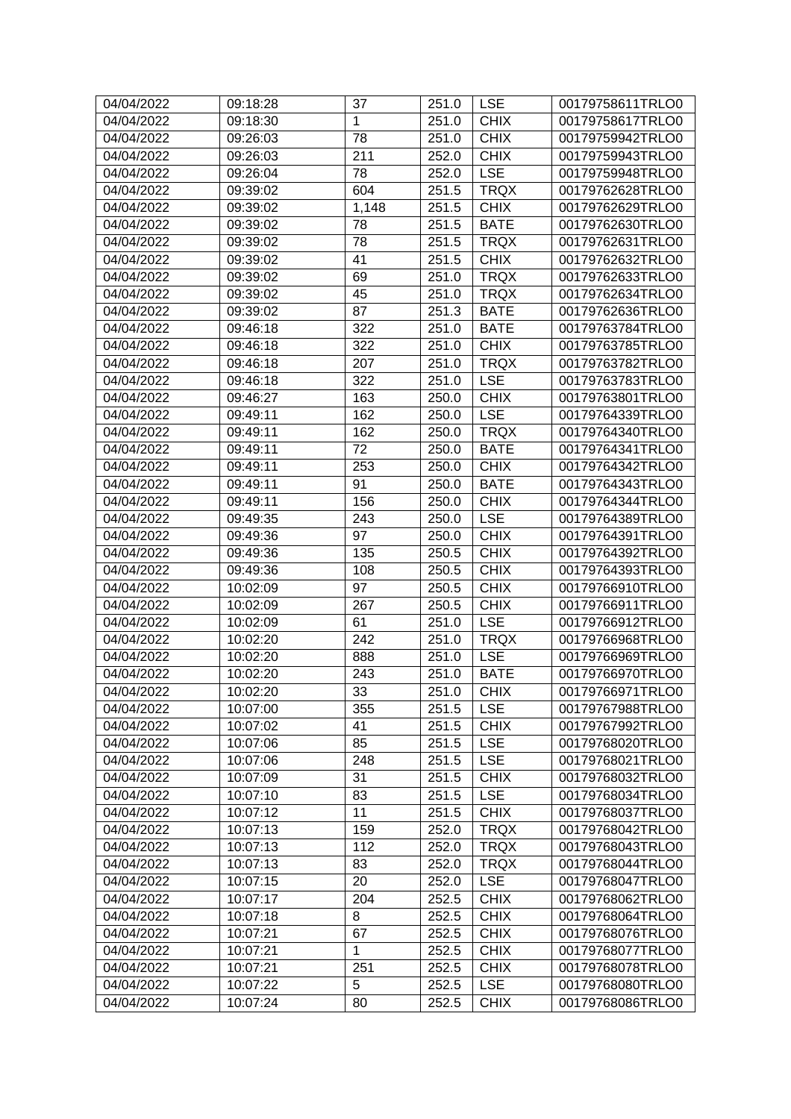| $\mathbf{1}$<br><b>CHIX</b><br>00179758617TRLO0<br>04/04/2022<br>09:18:30<br>251.0<br><b>CHIX</b><br>04/04/2022<br>78<br>00179759942TRLO0<br>09:26:03<br>251.0<br>211<br><b>CHIX</b><br>04/04/2022<br>09:26:03<br>252.0<br>00179759943TRLO0<br><b>LSE</b><br>78<br>04/04/2022<br>09:26:04<br>252.0<br>00179759948TRLO0<br>604<br>04/04/2022<br>09:39:02<br><b>TRQX</b><br>00179762628TRLO0<br>251.5<br><b>CHIX</b><br>04/04/2022<br>09:39:02<br>1,148<br>251.5<br>00179762629TRLO0<br><b>BATE</b><br>04/04/2022<br>09:39:02<br>78<br>251.5<br>00179762630TRLO0<br>04/04/2022<br>09:39:02<br>78<br>251.5<br><b>TRQX</b><br>00179762631TRLO0<br>41<br>04/04/2022<br>251.5<br><b>CHIX</b><br>00179762632TRLO0<br>09:39:02<br>69<br><b>TRQX</b><br>04/04/2022<br>09:39:02<br>251.0<br>00179762633TRLO0<br>45<br>04/04/2022<br>251.0<br><b>TRQX</b><br>00179762634TRLO0<br>09:39:02<br>87<br>04/04/2022<br>09:39:02<br>251.3<br><b>BATE</b><br>00179762636TRLO0<br>322<br><b>BATE</b><br>04/04/2022<br>09:46:18<br>251.0<br>00179763784TRLO0<br><b>CHIX</b><br>04/04/2022<br>09:46:18<br>322<br>251.0<br>00179763785TRLO0<br>04/04/2022<br>207<br><b>TRQX</b><br>00179763782TRLO0<br>09:46:18<br>251.0<br>322<br><b>LSE</b><br>00179763783TRLO0<br>04/04/2022<br>09:46:18<br>251.0<br>163<br>04/04/2022<br>09:46:27<br><b>CHIX</b><br>00179763801TRLO0<br>250.0<br>162<br><b>LSE</b><br>04/04/2022<br>09:49:11<br>250.0<br>00179764339TRLO0<br><b>TRQX</b><br>04/04/2022<br>09:49:11<br>162<br>00179764340TRLO0<br>250.0<br>04/04/2022<br>09:49:11<br>72<br>250.0<br><b>BATE</b><br>00179764341TRLO0<br>04/04/2022<br>253<br><b>CHIX</b><br>00179764342TRLO0<br>09:49:11<br>250.0<br>91<br>04/04/2022<br><b>BATE</b><br>00179764343TRLO0<br>09:49:11<br>250.0<br>156<br><b>CHIX</b><br>04/04/2022<br>09:49:11<br>250.0<br>00179764344TRLO0<br>243<br><b>LSE</b><br>04/04/2022<br>09:49:35<br>250.0<br>00179764389TRLO0<br><b>CHIX</b><br>04/04/2022<br>09:49:36<br>97<br>00179764391TRLO0<br>250.0<br><b>CHIX</b><br>04/04/2022<br>09:49:36<br>135<br>00179764392TRLO0<br>250.5<br>108<br><b>CHIX</b><br>04/04/2022<br>09:49:36<br>250.5<br>00179764393TRLO0<br>97<br><b>CHIX</b><br>04/04/2022<br>10:02:09<br>250.5<br>00179766910TRLO0<br>267<br><b>CHIX</b><br>04/04/2022<br>10:02:09<br>00179766911TRLO0<br>250.5<br>61<br><b>LSE</b><br>04/04/2022<br>10:02:09<br>251.0<br>00179766912TRLO0<br>242<br><b>TRQX</b><br>00179766968TRLO0<br>04/04/2022<br>10:02:20<br>251.0<br><b>LSE</b><br>04/04/2022<br>10:02:20<br>888<br>251.0<br>00179766969TRLO0<br>04/04/2022<br>10:02:20<br>243<br>251.0<br><b>BATE</b><br>00179766970TRLO0<br><b>CHIX</b><br>33<br>251.0<br>00179766971TRLO0<br>04/04/2022<br>10:02:20<br>355<br>04/04/2022<br>10:07:00<br>251.5<br><b>LSE</b><br>00179767988TRLO0<br><b>CHIX</b><br>04/04/2022<br>10:07:02<br>41<br>00179767992TRLO0<br>251.5<br>85<br>04/04/2022<br>10:07:06<br>251.5<br><b>LSE</b><br>00179768020TRLO0<br><b>LSE</b><br>04/04/2022<br>10:07:06<br>248<br>251.5<br>00179768021TRLO0<br><b>CHIX</b><br>31<br>251.5<br>04/04/2022<br>10:07:09<br>00179768032TRLO0<br>83<br>04/04/2022<br><b>LSE</b><br>10:07:10<br>251.5<br>00179768034TRLO0<br>11<br><b>CHIX</b><br>04/04/2022<br>10:07:12<br>251.5<br>00179768037TRLO0<br>159<br><b>TRQX</b><br>04/04/2022<br>10:07:13<br>252.0<br>00179768042TRLO0<br><b>TRQX</b><br>04/04/2022<br>10:07:13<br>112<br>252.0<br>00179768043TRLO0<br>83<br><b>TRQX</b><br>04/04/2022<br>10:07:13<br>252.0<br>00179768044TRLO0<br>20<br><b>LSE</b><br>04/04/2022<br>10:07:15<br>252.0<br>00179768047TRLO0<br>204<br><b>CHIX</b><br>04/04/2022<br>10:07:17<br>252.5<br>00179768062TRLO0<br><b>CHIX</b><br>04/04/2022<br>10:07:18<br>8<br>00179768064TRLO0<br>252.5<br>67<br><b>CHIX</b><br>04/04/2022<br>10:07:21<br>252.5<br>00179768076TRLO0<br><b>CHIX</b><br>04/04/2022<br>10:07:21<br>1<br>252.5<br>00179768077TRLO0<br>10:07:21<br>251<br><b>CHIX</b><br>04/04/2022<br>252.5<br>00179768078TRLO0<br>5<br><b>LSE</b><br>04/04/2022<br>10:07:22<br>252.5<br>00179768080TRLO0<br>80<br>04/04/2022<br>00179768086TRLO0 | 04/04/2022 | 09:18:28 | 37 | 251.0 | <b>LSE</b>  | 00179758611TRLO0 |
|------------------------------------------------------------------------------------------------------------------------------------------------------------------------------------------------------------------------------------------------------------------------------------------------------------------------------------------------------------------------------------------------------------------------------------------------------------------------------------------------------------------------------------------------------------------------------------------------------------------------------------------------------------------------------------------------------------------------------------------------------------------------------------------------------------------------------------------------------------------------------------------------------------------------------------------------------------------------------------------------------------------------------------------------------------------------------------------------------------------------------------------------------------------------------------------------------------------------------------------------------------------------------------------------------------------------------------------------------------------------------------------------------------------------------------------------------------------------------------------------------------------------------------------------------------------------------------------------------------------------------------------------------------------------------------------------------------------------------------------------------------------------------------------------------------------------------------------------------------------------------------------------------------------------------------------------------------------------------------------------------------------------------------------------------------------------------------------------------------------------------------------------------------------------------------------------------------------------------------------------------------------------------------------------------------------------------------------------------------------------------------------------------------------------------------------------------------------------------------------------------------------------------------------------------------------------------------------------------------------------------------------------------------------------------------------------------------------------------------------------------------------------------------------------------------------------------------------------------------------------------------------------------------------------------------------------------------------------------------------------------------------------------------------------------------------------------------------------------------------------------------------------------------------------------------------------------------------------------------------------------------------------------------------------------------------------------------------------------------------------------------------------------------------------------------------------------------------------------------------------------------------------------------------------------------------------------------------------------------------------------------------------------------------------------------------------------------------------------------------------------------------------------------------------------------------------------------------------------------------------------------------------------------------------------------------------------------------------------------------------------------------------------------------------------------------------------------------------|------------|----------|----|-------|-------------|------------------|
|                                                                                                                                                                                                                                                                                                                                                                                                                                                                                                                                                                                                                                                                                                                                                                                                                                                                                                                                                                                                                                                                                                                                                                                                                                                                                                                                                                                                                                                                                                                                                                                                                                                                                                                                                                                                                                                                                                                                                                                                                                                                                                                                                                                                                                                                                                                                                                                                                                                                                                                                                                                                                                                                                                                                                                                                                                                                                                                                                                                                                                                                                                                                                                                                                                                                                                                                                                                                                                                                                                                                                                                                                                                                                                                                                                                                                                                                                                                                                                                                                                                                                                |            |          |    |       |             |                  |
|                                                                                                                                                                                                                                                                                                                                                                                                                                                                                                                                                                                                                                                                                                                                                                                                                                                                                                                                                                                                                                                                                                                                                                                                                                                                                                                                                                                                                                                                                                                                                                                                                                                                                                                                                                                                                                                                                                                                                                                                                                                                                                                                                                                                                                                                                                                                                                                                                                                                                                                                                                                                                                                                                                                                                                                                                                                                                                                                                                                                                                                                                                                                                                                                                                                                                                                                                                                                                                                                                                                                                                                                                                                                                                                                                                                                                                                                                                                                                                                                                                                                                                |            |          |    |       |             |                  |
|                                                                                                                                                                                                                                                                                                                                                                                                                                                                                                                                                                                                                                                                                                                                                                                                                                                                                                                                                                                                                                                                                                                                                                                                                                                                                                                                                                                                                                                                                                                                                                                                                                                                                                                                                                                                                                                                                                                                                                                                                                                                                                                                                                                                                                                                                                                                                                                                                                                                                                                                                                                                                                                                                                                                                                                                                                                                                                                                                                                                                                                                                                                                                                                                                                                                                                                                                                                                                                                                                                                                                                                                                                                                                                                                                                                                                                                                                                                                                                                                                                                                                                |            |          |    |       |             |                  |
|                                                                                                                                                                                                                                                                                                                                                                                                                                                                                                                                                                                                                                                                                                                                                                                                                                                                                                                                                                                                                                                                                                                                                                                                                                                                                                                                                                                                                                                                                                                                                                                                                                                                                                                                                                                                                                                                                                                                                                                                                                                                                                                                                                                                                                                                                                                                                                                                                                                                                                                                                                                                                                                                                                                                                                                                                                                                                                                                                                                                                                                                                                                                                                                                                                                                                                                                                                                                                                                                                                                                                                                                                                                                                                                                                                                                                                                                                                                                                                                                                                                                                                |            |          |    |       |             |                  |
|                                                                                                                                                                                                                                                                                                                                                                                                                                                                                                                                                                                                                                                                                                                                                                                                                                                                                                                                                                                                                                                                                                                                                                                                                                                                                                                                                                                                                                                                                                                                                                                                                                                                                                                                                                                                                                                                                                                                                                                                                                                                                                                                                                                                                                                                                                                                                                                                                                                                                                                                                                                                                                                                                                                                                                                                                                                                                                                                                                                                                                                                                                                                                                                                                                                                                                                                                                                                                                                                                                                                                                                                                                                                                                                                                                                                                                                                                                                                                                                                                                                                                                |            |          |    |       |             |                  |
|                                                                                                                                                                                                                                                                                                                                                                                                                                                                                                                                                                                                                                                                                                                                                                                                                                                                                                                                                                                                                                                                                                                                                                                                                                                                                                                                                                                                                                                                                                                                                                                                                                                                                                                                                                                                                                                                                                                                                                                                                                                                                                                                                                                                                                                                                                                                                                                                                                                                                                                                                                                                                                                                                                                                                                                                                                                                                                                                                                                                                                                                                                                                                                                                                                                                                                                                                                                                                                                                                                                                                                                                                                                                                                                                                                                                                                                                                                                                                                                                                                                                                                |            |          |    |       |             |                  |
|                                                                                                                                                                                                                                                                                                                                                                                                                                                                                                                                                                                                                                                                                                                                                                                                                                                                                                                                                                                                                                                                                                                                                                                                                                                                                                                                                                                                                                                                                                                                                                                                                                                                                                                                                                                                                                                                                                                                                                                                                                                                                                                                                                                                                                                                                                                                                                                                                                                                                                                                                                                                                                                                                                                                                                                                                                                                                                                                                                                                                                                                                                                                                                                                                                                                                                                                                                                                                                                                                                                                                                                                                                                                                                                                                                                                                                                                                                                                                                                                                                                                                                |            |          |    |       |             |                  |
|                                                                                                                                                                                                                                                                                                                                                                                                                                                                                                                                                                                                                                                                                                                                                                                                                                                                                                                                                                                                                                                                                                                                                                                                                                                                                                                                                                                                                                                                                                                                                                                                                                                                                                                                                                                                                                                                                                                                                                                                                                                                                                                                                                                                                                                                                                                                                                                                                                                                                                                                                                                                                                                                                                                                                                                                                                                                                                                                                                                                                                                                                                                                                                                                                                                                                                                                                                                                                                                                                                                                                                                                                                                                                                                                                                                                                                                                                                                                                                                                                                                                                                |            |          |    |       |             |                  |
|                                                                                                                                                                                                                                                                                                                                                                                                                                                                                                                                                                                                                                                                                                                                                                                                                                                                                                                                                                                                                                                                                                                                                                                                                                                                                                                                                                                                                                                                                                                                                                                                                                                                                                                                                                                                                                                                                                                                                                                                                                                                                                                                                                                                                                                                                                                                                                                                                                                                                                                                                                                                                                                                                                                                                                                                                                                                                                                                                                                                                                                                                                                                                                                                                                                                                                                                                                                                                                                                                                                                                                                                                                                                                                                                                                                                                                                                                                                                                                                                                                                                                                |            |          |    |       |             |                  |
|                                                                                                                                                                                                                                                                                                                                                                                                                                                                                                                                                                                                                                                                                                                                                                                                                                                                                                                                                                                                                                                                                                                                                                                                                                                                                                                                                                                                                                                                                                                                                                                                                                                                                                                                                                                                                                                                                                                                                                                                                                                                                                                                                                                                                                                                                                                                                                                                                                                                                                                                                                                                                                                                                                                                                                                                                                                                                                                                                                                                                                                                                                                                                                                                                                                                                                                                                                                                                                                                                                                                                                                                                                                                                                                                                                                                                                                                                                                                                                                                                                                                                                |            |          |    |       |             |                  |
|                                                                                                                                                                                                                                                                                                                                                                                                                                                                                                                                                                                                                                                                                                                                                                                                                                                                                                                                                                                                                                                                                                                                                                                                                                                                                                                                                                                                                                                                                                                                                                                                                                                                                                                                                                                                                                                                                                                                                                                                                                                                                                                                                                                                                                                                                                                                                                                                                                                                                                                                                                                                                                                                                                                                                                                                                                                                                                                                                                                                                                                                                                                                                                                                                                                                                                                                                                                                                                                                                                                                                                                                                                                                                                                                                                                                                                                                                                                                                                                                                                                                                                |            |          |    |       |             |                  |
|                                                                                                                                                                                                                                                                                                                                                                                                                                                                                                                                                                                                                                                                                                                                                                                                                                                                                                                                                                                                                                                                                                                                                                                                                                                                                                                                                                                                                                                                                                                                                                                                                                                                                                                                                                                                                                                                                                                                                                                                                                                                                                                                                                                                                                                                                                                                                                                                                                                                                                                                                                                                                                                                                                                                                                                                                                                                                                                                                                                                                                                                                                                                                                                                                                                                                                                                                                                                                                                                                                                                                                                                                                                                                                                                                                                                                                                                                                                                                                                                                                                                                                |            |          |    |       |             |                  |
|                                                                                                                                                                                                                                                                                                                                                                                                                                                                                                                                                                                                                                                                                                                                                                                                                                                                                                                                                                                                                                                                                                                                                                                                                                                                                                                                                                                                                                                                                                                                                                                                                                                                                                                                                                                                                                                                                                                                                                                                                                                                                                                                                                                                                                                                                                                                                                                                                                                                                                                                                                                                                                                                                                                                                                                                                                                                                                                                                                                                                                                                                                                                                                                                                                                                                                                                                                                                                                                                                                                                                                                                                                                                                                                                                                                                                                                                                                                                                                                                                                                                                                |            |          |    |       |             |                  |
|                                                                                                                                                                                                                                                                                                                                                                                                                                                                                                                                                                                                                                                                                                                                                                                                                                                                                                                                                                                                                                                                                                                                                                                                                                                                                                                                                                                                                                                                                                                                                                                                                                                                                                                                                                                                                                                                                                                                                                                                                                                                                                                                                                                                                                                                                                                                                                                                                                                                                                                                                                                                                                                                                                                                                                                                                                                                                                                                                                                                                                                                                                                                                                                                                                                                                                                                                                                                                                                                                                                                                                                                                                                                                                                                                                                                                                                                                                                                                                                                                                                                                                |            |          |    |       |             |                  |
|                                                                                                                                                                                                                                                                                                                                                                                                                                                                                                                                                                                                                                                                                                                                                                                                                                                                                                                                                                                                                                                                                                                                                                                                                                                                                                                                                                                                                                                                                                                                                                                                                                                                                                                                                                                                                                                                                                                                                                                                                                                                                                                                                                                                                                                                                                                                                                                                                                                                                                                                                                                                                                                                                                                                                                                                                                                                                                                                                                                                                                                                                                                                                                                                                                                                                                                                                                                                                                                                                                                                                                                                                                                                                                                                                                                                                                                                                                                                                                                                                                                                                                |            |          |    |       |             |                  |
|                                                                                                                                                                                                                                                                                                                                                                                                                                                                                                                                                                                                                                                                                                                                                                                                                                                                                                                                                                                                                                                                                                                                                                                                                                                                                                                                                                                                                                                                                                                                                                                                                                                                                                                                                                                                                                                                                                                                                                                                                                                                                                                                                                                                                                                                                                                                                                                                                                                                                                                                                                                                                                                                                                                                                                                                                                                                                                                                                                                                                                                                                                                                                                                                                                                                                                                                                                                                                                                                                                                                                                                                                                                                                                                                                                                                                                                                                                                                                                                                                                                                                                |            |          |    |       |             |                  |
|                                                                                                                                                                                                                                                                                                                                                                                                                                                                                                                                                                                                                                                                                                                                                                                                                                                                                                                                                                                                                                                                                                                                                                                                                                                                                                                                                                                                                                                                                                                                                                                                                                                                                                                                                                                                                                                                                                                                                                                                                                                                                                                                                                                                                                                                                                                                                                                                                                                                                                                                                                                                                                                                                                                                                                                                                                                                                                                                                                                                                                                                                                                                                                                                                                                                                                                                                                                                                                                                                                                                                                                                                                                                                                                                                                                                                                                                                                                                                                                                                                                                                                |            |          |    |       |             |                  |
|                                                                                                                                                                                                                                                                                                                                                                                                                                                                                                                                                                                                                                                                                                                                                                                                                                                                                                                                                                                                                                                                                                                                                                                                                                                                                                                                                                                                                                                                                                                                                                                                                                                                                                                                                                                                                                                                                                                                                                                                                                                                                                                                                                                                                                                                                                                                                                                                                                                                                                                                                                                                                                                                                                                                                                                                                                                                                                                                                                                                                                                                                                                                                                                                                                                                                                                                                                                                                                                                                                                                                                                                                                                                                                                                                                                                                                                                                                                                                                                                                                                                                                |            |          |    |       |             |                  |
|                                                                                                                                                                                                                                                                                                                                                                                                                                                                                                                                                                                                                                                                                                                                                                                                                                                                                                                                                                                                                                                                                                                                                                                                                                                                                                                                                                                                                                                                                                                                                                                                                                                                                                                                                                                                                                                                                                                                                                                                                                                                                                                                                                                                                                                                                                                                                                                                                                                                                                                                                                                                                                                                                                                                                                                                                                                                                                                                                                                                                                                                                                                                                                                                                                                                                                                                                                                                                                                                                                                                                                                                                                                                                                                                                                                                                                                                                                                                                                                                                                                                                                |            |          |    |       |             |                  |
|                                                                                                                                                                                                                                                                                                                                                                                                                                                                                                                                                                                                                                                                                                                                                                                                                                                                                                                                                                                                                                                                                                                                                                                                                                                                                                                                                                                                                                                                                                                                                                                                                                                                                                                                                                                                                                                                                                                                                                                                                                                                                                                                                                                                                                                                                                                                                                                                                                                                                                                                                                                                                                                                                                                                                                                                                                                                                                                                                                                                                                                                                                                                                                                                                                                                                                                                                                                                                                                                                                                                                                                                                                                                                                                                                                                                                                                                                                                                                                                                                                                                                                |            |          |    |       |             |                  |
|                                                                                                                                                                                                                                                                                                                                                                                                                                                                                                                                                                                                                                                                                                                                                                                                                                                                                                                                                                                                                                                                                                                                                                                                                                                                                                                                                                                                                                                                                                                                                                                                                                                                                                                                                                                                                                                                                                                                                                                                                                                                                                                                                                                                                                                                                                                                                                                                                                                                                                                                                                                                                                                                                                                                                                                                                                                                                                                                                                                                                                                                                                                                                                                                                                                                                                                                                                                                                                                                                                                                                                                                                                                                                                                                                                                                                                                                                                                                                                                                                                                                                                |            |          |    |       |             |                  |
|                                                                                                                                                                                                                                                                                                                                                                                                                                                                                                                                                                                                                                                                                                                                                                                                                                                                                                                                                                                                                                                                                                                                                                                                                                                                                                                                                                                                                                                                                                                                                                                                                                                                                                                                                                                                                                                                                                                                                                                                                                                                                                                                                                                                                                                                                                                                                                                                                                                                                                                                                                                                                                                                                                                                                                                                                                                                                                                                                                                                                                                                                                                                                                                                                                                                                                                                                                                                                                                                                                                                                                                                                                                                                                                                                                                                                                                                                                                                                                                                                                                                                                |            |          |    |       |             |                  |
|                                                                                                                                                                                                                                                                                                                                                                                                                                                                                                                                                                                                                                                                                                                                                                                                                                                                                                                                                                                                                                                                                                                                                                                                                                                                                                                                                                                                                                                                                                                                                                                                                                                                                                                                                                                                                                                                                                                                                                                                                                                                                                                                                                                                                                                                                                                                                                                                                                                                                                                                                                                                                                                                                                                                                                                                                                                                                                                                                                                                                                                                                                                                                                                                                                                                                                                                                                                                                                                                                                                                                                                                                                                                                                                                                                                                                                                                                                                                                                                                                                                                                                |            |          |    |       |             |                  |
|                                                                                                                                                                                                                                                                                                                                                                                                                                                                                                                                                                                                                                                                                                                                                                                                                                                                                                                                                                                                                                                                                                                                                                                                                                                                                                                                                                                                                                                                                                                                                                                                                                                                                                                                                                                                                                                                                                                                                                                                                                                                                                                                                                                                                                                                                                                                                                                                                                                                                                                                                                                                                                                                                                                                                                                                                                                                                                                                                                                                                                                                                                                                                                                                                                                                                                                                                                                                                                                                                                                                                                                                                                                                                                                                                                                                                                                                                                                                                                                                                                                                                                |            |          |    |       |             |                  |
|                                                                                                                                                                                                                                                                                                                                                                                                                                                                                                                                                                                                                                                                                                                                                                                                                                                                                                                                                                                                                                                                                                                                                                                                                                                                                                                                                                                                                                                                                                                                                                                                                                                                                                                                                                                                                                                                                                                                                                                                                                                                                                                                                                                                                                                                                                                                                                                                                                                                                                                                                                                                                                                                                                                                                                                                                                                                                                                                                                                                                                                                                                                                                                                                                                                                                                                                                                                                                                                                                                                                                                                                                                                                                                                                                                                                                                                                                                                                                                                                                                                                                                |            |          |    |       |             |                  |
|                                                                                                                                                                                                                                                                                                                                                                                                                                                                                                                                                                                                                                                                                                                                                                                                                                                                                                                                                                                                                                                                                                                                                                                                                                                                                                                                                                                                                                                                                                                                                                                                                                                                                                                                                                                                                                                                                                                                                                                                                                                                                                                                                                                                                                                                                                                                                                                                                                                                                                                                                                                                                                                                                                                                                                                                                                                                                                                                                                                                                                                                                                                                                                                                                                                                                                                                                                                                                                                                                                                                                                                                                                                                                                                                                                                                                                                                                                                                                                                                                                                                                                |            |          |    |       |             |                  |
|                                                                                                                                                                                                                                                                                                                                                                                                                                                                                                                                                                                                                                                                                                                                                                                                                                                                                                                                                                                                                                                                                                                                                                                                                                                                                                                                                                                                                                                                                                                                                                                                                                                                                                                                                                                                                                                                                                                                                                                                                                                                                                                                                                                                                                                                                                                                                                                                                                                                                                                                                                                                                                                                                                                                                                                                                                                                                                                                                                                                                                                                                                                                                                                                                                                                                                                                                                                                                                                                                                                                                                                                                                                                                                                                                                                                                                                                                                                                                                                                                                                                                                |            |          |    |       |             |                  |
|                                                                                                                                                                                                                                                                                                                                                                                                                                                                                                                                                                                                                                                                                                                                                                                                                                                                                                                                                                                                                                                                                                                                                                                                                                                                                                                                                                                                                                                                                                                                                                                                                                                                                                                                                                                                                                                                                                                                                                                                                                                                                                                                                                                                                                                                                                                                                                                                                                                                                                                                                                                                                                                                                                                                                                                                                                                                                                                                                                                                                                                                                                                                                                                                                                                                                                                                                                                                                                                                                                                                                                                                                                                                                                                                                                                                                                                                                                                                                                                                                                                                                                |            |          |    |       |             |                  |
|                                                                                                                                                                                                                                                                                                                                                                                                                                                                                                                                                                                                                                                                                                                                                                                                                                                                                                                                                                                                                                                                                                                                                                                                                                                                                                                                                                                                                                                                                                                                                                                                                                                                                                                                                                                                                                                                                                                                                                                                                                                                                                                                                                                                                                                                                                                                                                                                                                                                                                                                                                                                                                                                                                                                                                                                                                                                                                                                                                                                                                                                                                                                                                                                                                                                                                                                                                                                                                                                                                                                                                                                                                                                                                                                                                                                                                                                                                                                                                                                                                                                                                |            |          |    |       |             |                  |
|                                                                                                                                                                                                                                                                                                                                                                                                                                                                                                                                                                                                                                                                                                                                                                                                                                                                                                                                                                                                                                                                                                                                                                                                                                                                                                                                                                                                                                                                                                                                                                                                                                                                                                                                                                                                                                                                                                                                                                                                                                                                                                                                                                                                                                                                                                                                                                                                                                                                                                                                                                                                                                                                                                                                                                                                                                                                                                                                                                                                                                                                                                                                                                                                                                                                                                                                                                                                                                                                                                                                                                                                                                                                                                                                                                                                                                                                                                                                                                                                                                                                                                |            |          |    |       |             |                  |
|                                                                                                                                                                                                                                                                                                                                                                                                                                                                                                                                                                                                                                                                                                                                                                                                                                                                                                                                                                                                                                                                                                                                                                                                                                                                                                                                                                                                                                                                                                                                                                                                                                                                                                                                                                                                                                                                                                                                                                                                                                                                                                                                                                                                                                                                                                                                                                                                                                                                                                                                                                                                                                                                                                                                                                                                                                                                                                                                                                                                                                                                                                                                                                                                                                                                                                                                                                                                                                                                                                                                                                                                                                                                                                                                                                                                                                                                                                                                                                                                                                                                                                |            |          |    |       |             |                  |
|                                                                                                                                                                                                                                                                                                                                                                                                                                                                                                                                                                                                                                                                                                                                                                                                                                                                                                                                                                                                                                                                                                                                                                                                                                                                                                                                                                                                                                                                                                                                                                                                                                                                                                                                                                                                                                                                                                                                                                                                                                                                                                                                                                                                                                                                                                                                                                                                                                                                                                                                                                                                                                                                                                                                                                                                                                                                                                                                                                                                                                                                                                                                                                                                                                                                                                                                                                                                                                                                                                                                                                                                                                                                                                                                                                                                                                                                                                                                                                                                                                                                                                |            |          |    |       |             |                  |
|                                                                                                                                                                                                                                                                                                                                                                                                                                                                                                                                                                                                                                                                                                                                                                                                                                                                                                                                                                                                                                                                                                                                                                                                                                                                                                                                                                                                                                                                                                                                                                                                                                                                                                                                                                                                                                                                                                                                                                                                                                                                                                                                                                                                                                                                                                                                                                                                                                                                                                                                                                                                                                                                                                                                                                                                                                                                                                                                                                                                                                                                                                                                                                                                                                                                                                                                                                                                                                                                                                                                                                                                                                                                                                                                                                                                                                                                                                                                                                                                                                                                                                |            |          |    |       |             |                  |
|                                                                                                                                                                                                                                                                                                                                                                                                                                                                                                                                                                                                                                                                                                                                                                                                                                                                                                                                                                                                                                                                                                                                                                                                                                                                                                                                                                                                                                                                                                                                                                                                                                                                                                                                                                                                                                                                                                                                                                                                                                                                                                                                                                                                                                                                                                                                                                                                                                                                                                                                                                                                                                                                                                                                                                                                                                                                                                                                                                                                                                                                                                                                                                                                                                                                                                                                                                                                                                                                                                                                                                                                                                                                                                                                                                                                                                                                                                                                                                                                                                                                                                |            |          |    |       |             |                  |
|                                                                                                                                                                                                                                                                                                                                                                                                                                                                                                                                                                                                                                                                                                                                                                                                                                                                                                                                                                                                                                                                                                                                                                                                                                                                                                                                                                                                                                                                                                                                                                                                                                                                                                                                                                                                                                                                                                                                                                                                                                                                                                                                                                                                                                                                                                                                                                                                                                                                                                                                                                                                                                                                                                                                                                                                                                                                                                                                                                                                                                                                                                                                                                                                                                                                                                                                                                                                                                                                                                                                                                                                                                                                                                                                                                                                                                                                                                                                                                                                                                                                                                |            |          |    |       |             |                  |
|                                                                                                                                                                                                                                                                                                                                                                                                                                                                                                                                                                                                                                                                                                                                                                                                                                                                                                                                                                                                                                                                                                                                                                                                                                                                                                                                                                                                                                                                                                                                                                                                                                                                                                                                                                                                                                                                                                                                                                                                                                                                                                                                                                                                                                                                                                                                                                                                                                                                                                                                                                                                                                                                                                                                                                                                                                                                                                                                                                                                                                                                                                                                                                                                                                                                                                                                                                                                                                                                                                                                                                                                                                                                                                                                                                                                                                                                                                                                                                                                                                                                                                |            |          |    |       |             |                  |
|                                                                                                                                                                                                                                                                                                                                                                                                                                                                                                                                                                                                                                                                                                                                                                                                                                                                                                                                                                                                                                                                                                                                                                                                                                                                                                                                                                                                                                                                                                                                                                                                                                                                                                                                                                                                                                                                                                                                                                                                                                                                                                                                                                                                                                                                                                                                                                                                                                                                                                                                                                                                                                                                                                                                                                                                                                                                                                                                                                                                                                                                                                                                                                                                                                                                                                                                                                                                                                                                                                                                                                                                                                                                                                                                                                                                                                                                                                                                                                                                                                                                                                |            |          |    |       |             |                  |
|                                                                                                                                                                                                                                                                                                                                                                                                                                                                                                                                                                                                                                                                                                                                                                                                                                                                                                                                                                                                                                                                                                                                                                                                                                                                                                                                                                                                                                                                                                                                                                                                                                                                                                                                                                                                                                                                                                                                                                                                                                                                                                                                                                                                                                                                                                                                                                                                                                                                                                                                                                                                                                                                                                                                                                                                                                                                                                                                                                                                                                                                                                                                                                                                                                                                                                                                                                                                                                                                                                                                                                                                                                                                                                                                                                                                                                                                                                                                                                                                                                                                                                |            |          |    |       |             |                  |
|                                                                                                                                                                                                                                                                                                                                                                                                                                                                                                                                                                                                                                                                                                                                                                                                                                                                                                                                                                                                                                                                                                                                                                                                                                                                                                                                                                                                                                                                                                                                                                                                                                                                                                                                                                                                                                                                                                                                                                                                                                                                                                                                                                                                                                                                                                                                                                                                                                                                                                                                                                                                                                                                                                                                                                                                                                                                                                                                                                                                                                                                                                                                                                                                                                                                                                                                                                                                                                                                                                                                                                                                                                                                                                                                                                                                                                                                                                                                                                                                                                                                                                |            |          |    |       |             |                  |
|                                                                                                                                                                                                                                                                                                                                                                                                                                                                                                                                                                                                                                                                                                                                                                                                                                                                                                                                                                                                                                                                                                                                                                                                                                                                                                                                                                                                                                                                                                                                                                                                                                                                                                                                                                                                                                                                                                                                                                                                                                                                                                                                                                                                                                                                                                                                                                                                                                                                                                                                                                                                                                                                                                                                                                                                                                                                                                                                                                                                                                                                                                                                                                                                                                                                                                                                                                                                                                                                                                                                                                                                                                                                                                                                                                                                                                                                                                                                                                                                                                                                                                |            |          |    |       |             |                  |
|                                                                                                                                                                                                                                                                                                                                                                                                                                                                                                                                                                                                                                                                                                                                                                                                                                                                                                                                                                                                                                                                                                                                                                                                                                                                                                                                                                                                                                                                                                                                                                                                                                                                                                                                                                                                                                                                                                                                                                                                                                                                                                                                                                                                                                                                                                                                                                                                                                                                                                                                                                                                                                                                                                                                                                                                                                                                                                                                                                                                                                                                                                                                                                                                                                                                                                                                                                                                                                                                                                                                                                                                                                                                                                                                                                                                                                                                                                                                                                                                                                                                                                |            |          |    |       |             |                  |
|                                                                                                                                                                                                                                                                                                                                                                                                                                                                                                                                                                                                                                                                                                                                                                                                                                                                                                                                                                                                                                                                                                                                                                                                                                                                                                                                                                                                                                                                                                                                                                                                                                                                                                                                                                                                                                                                                                                                                                                                                                                                                                                                                                                                                                                                                                                                                                                                                                                                                                                                                                                                                                                                                                                                                                                                                                                                                                                                                                                                                                                                                                                                                                                                                                                                                                                                                                                                                                                                                                                                                                                                                                                                                                                                                                                                                                                                                                                                                                                                                                                                                                |            |          |    |       |             |                  |
|                                                                                                                                                                                                                                                                                                                                                                                                                                                                                                                                                                                                                                                                                                                                                                                                                                                                                                                                                                                                                                                                                                                                                                                                                                                                                                                                                                                                                                                                                                                                                                                                                                                                                                                                                                                                                                                                                                                                                                                                                                                                                                                                                                                                                                                                                                                                                                                                                                                                                                                                                                                                                                                                                                                                                                                                                                                                                                                                                                                                                                                                                                                                                                                                                                                                                                                                                                                                                                                                                                                                                                                                                                                                                                                                                                                                                                                                                                                                                                                                                                                                                                |            |          |    |       |             |                  |
|                                                                                                                                                                                                                                                                                                                                                                                                                                                                                                                                                                                                                                                                                                                                                                                                                                                                                                                                                                                                                                                                                                                                                                                                                                                                                                                                                                                                                                                                                                                                                                                                                                                                                                                                                                                                                                                                                                                                                                                                                                                                                                                                                                                                                                                                                                                                                                                                                                                                                                                                                                                                                                                                                                                                                                                                                                                                                                                                                                                                                                                                                                                                                                                                                                                                                                                                                                                                                                                                                                                                                                                                                                                                                                                                                                                                                                                                                                                                                                                                                                                                                                |            |          |    |       |             |                  |
|                                                                                                                                                                                                                                                                                                                                                                                                                                                                                                                                                                                                                                                                                                                                                                                                                                                                                                                                                                                                                                                                                                                                                                                                                                                                                                                                                                                                                                                                                                                                                                                                                                                                                                                                                                                                                                                                                                                                                                                                                                                                                                                                                                                                                                                                                                                                                                                                                                                                                                                                                                                                                                                                                                                                                                                                                                                                                                                                                                                                                                                                                                                                                                                                                                                                                                                                                                                                                                                                                                                                                                                                                                                                                                                                                                                                                                                                                                                                                                                                                                                                                                |            |          |    |       |             |                  |
|                                                                                                                                                                                                                                                                                                                                                                                                                                                                                                                                                                                                                                                                                                                                                                                                                                                                                                                                                                                                                                                                                                                                                                                                                                                                                                                                                                                                                                                                                                                                                                                                                                                                                                                                                                                                                                                                                                                                                                                                                                                                                                                                                                                                                                                                                                                                                                                                                                                                                                                                                                                                                                                                                                                                                                                                                                                                                                                                                                                                                                                                                                                                                                                                                                                                                                                                                                                                                                                                                                                                                                                                                                                                                                                                                                                                                                                                                                                                                                                                                                                                                                |            |          |    |       |             |                  |
|                                                                                                                                                                                                                                                                                                                                                                                                                                                                                                                                                                                                                                                                                                                                                                                                                                                                                                                                                                                                                                                                                                                                                                                                                                                                                                                                                                                                                                                                                                                                                                                                                                                                                                                                                                                                                                                                                                                                                                                                                                                                                                                                                                                                                                                                                                                                                                                                                                                                                                                                                                                                                                                                                                                                                                                                                                                                                                                                                                                                                                                                                                                                                                                                                                                                                                                                                                                                                                                                                                                                                                                                                                                                                                                                                                                                                                                                                                                                                                                                                                                                                                |            |          |    |       |             |                  |
|                                                                                                                                                                                                                                                                                                                                                                                                                                                                                                                                                                                                                                                                                                                                                                                                                                                                                                                                                                                                                                                                                                                                                                                                                                                                                                                                                                                                                                                                                                                                                                                                                                                                                                                                                                                                                                                                                                                                                                                                                                                                                                                                                                                                                                                                                                                                                                                                                                                                                                                                                                                                                                                                                                                                                                                                                                                                                                                                                                                                                                                                                                                                                                                                                                                                                                                                                                                                                                                                                                                                                                                                                                                                                                                                                                                                                                                                                                                                                                                                                                                                                                |            |          |    |       |             |                  |
|                                                                                                                                                                                                                                                                                                                                                                                                                                                                                                                                                                                                                                                                                                                                                                                                                                                                                                                                                                                                                                                                                                                                                                                                                                                                                                                                                                                                                                                                                                                                                                                                                                                                                                                                                                                                                                                                                                                                                                                                                                                                                                                                                                                                                                                                                                                                                                                                                                                                                                                                                                                                                                                                                                                                                                                                                                                                                                                                                                                                                                                                                                                                                                                                                                                                                                                                                                                                                                                                                                                                                                                                                                                                                                                                                                                                                                                                                                                                                                                                                                                                                                |            |          |    |       |             |                  |
|                                                                                                                                                                                                                                                                                                                                                                                                                                                                                                                                                                                                                                                                                                                                                                                                                                                                                                                                                                                                                                                                                                                                                                                                                                                                                                                                                                                                                                                                                                                                                                                                                                                                                                                                                                                                                                                                                                                                                                                                                                                                                                                                                                                                                                                                                                                                                                                                                                                                                                                                                                                                                                                                                                                                                                                                                                                                                                                                                                                                                                                                                                                                                                                                                                                                                                                                                                                                                                                                                                                                                                                                                                                                                                                                                                                                                                                                                                                                                                                                                                                                                                |            |          |    |       |             |                  |
|                                                                                                                                                                                                                                                                                                                                                                                                                                                                                                                                                                                                                                                                                                                                                                                                                                                                                                                                                                                                                                                                                                                                                                                                                                                                                                                                                                                                                                                                                                                                                                                                                                                                                                                                                                                                                                                                                                                                                                                                                                                                                                                                                                                                                                                                                                                                                                                                                                                                                                                                                                                                                                                                                                                                                                                                                                                                                                                                                                                                                                                                                                                                                                                                                                                                                                                                                                                                                                                                                                                                                                                                                                                                                                                                                                                                                                                                                                                                                                                                                                                                                                |            |          |    |       |             |                  |
|                                                                                                                                                                                                                                                                                                                                                                                                                                                                                                                                                                                                                                                                                                                                                                                                                                                                                                                                                                                                                                                                                                                                                                                                                                                                                                                                                                                                                                                                                                                                                                                                                                                                                                                                                                                                                                                                                                                                                                                                                                                                                                                                                                                                                                                                                                                                                                                                                                                                                                                                                                                                                                                                                                                                                                                                                                                                                                                                                                                                                                                                                                                                                                                                                                                                                                                                                                                                                                                                                                                                                                                                                                                                                                                                                                                                                                                                                                                                                                                                                                                                                                |            | 10:07:24 |    | 252.5 | <b>CHIX</b> |                  |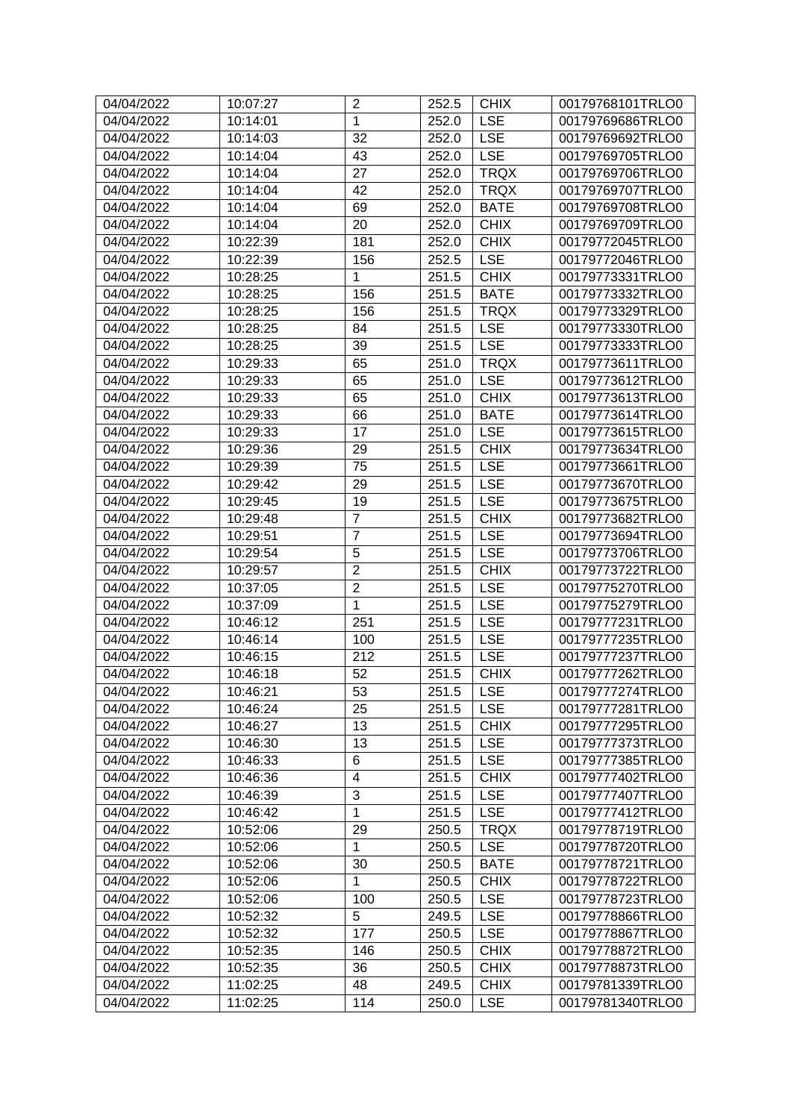| 04/04/2022 | 10:07:27 | $\overline{2}$  | 252.5 | <b>CHIX</b> | 00179768101TRLO0 |
|------------|----------|-----------------|-------|-------------|------------------|
| 04/04/2022 | 10:14:01 | $\mathbf{1}$    | 252.0 | <b>LSE</b>  | 00179769686TRLO0 |
| 04/04/2022 | 10:14:03 | 32              | 252.0 | <b>LSE</b>  | 00179769692TRLO0 |
| 04/04/2022 | 10:14:04 | 43              | 252.0 | <b>LSE</b>  | 00179769705TRLO0 |
| 04/04/2022 | 10:14:04 | 27              | 252.0 | <b>TRQX</b> | 00179769706TRLO0 |
| 04/04/2022 | 10:14:04 | 42              | 252.0 | <b>TRQX</b> | 00179769707TRLO0 |
| 04/04/2022 | 10:14:04 | 69              | 252.0 | <b>BATE</b> | 00179769708TRLO0 |
| 04/04/2022 | 10:14:04 | 20              | 252.0 | <b>CHIX</b> | 00179769709TRLO0 |
| 04/04/2022 | 10:22:39 | 181             | 252.0 | <b>CHIX</b> | 00179772045TRLO0 |
| 04/04/2022 | 10:22:39 | 156             | 252.5 | <b>LSE</b>  | 00179772046TRLO0 |
| 04/04/2022 | 10:28:25 | 1               | 251.5 | <b>CHIX</b> | 00179773331TRLO0 |
| 04/04/2022 | 10:28:25 | 156             | 251.5 | <b>BATE</b> | 00179773332TRLO0 |
| 04/04/2022 | 10:28:25 | 156             | 251.5 | <b>TRQX</b> | 00179773329TRLO0 |
| 04/04/2022 | 10:28:25 | 84              | 251.5 | <b>LSE</b>  | 00179773330TRLO0 |
| 04/04/2022 | 10:28:25 | 39              | 251.5 | <b>LSE</b>  | 00179773333TRLO0 |
| 04/04/2022 | 10:29:33 | 65              | 251.0 | <b>TRQX</b> | 00179773611TRLO0 |
| 04/04/2022 | 10:29:33 | 65              | 251.0 | <b>LSE</b>  | 00179773612TRLO0 |
| 04/04/2022 | 10:29:33 | 65              | 251.0 | <b>CHIX</b> | 00179773613TRLO0 |
| 04/04/2022 | 10:29:33 | 66              | 251.0 | <b>BATE</b> | 00179773614TRLO0 |
| 04/04/2022 | 10:29:33 | 17              | 251.0 | <b>LSE</b>  | 00179773615TRLO0 |
| 04/04/2022 | 10:29:36 | 29              | 251.5 | <b>CHIX</b> | 00179773634TRLO0 |
| 04/04/2022 | 10:29:39 | 75              | 251.5 | <b>LSE</b>  | 00179773661TRLO0 |
| 04/04/2022 | 10:29:42 | 29              | 251.5 | <b>LSE</b>  | 00179773670TRLO0 |
| 04/04/2022 | 10:29:45 | 19              | 251.5 | <b>LSE</b>  | 00179773675TRLO0 |
| 04/04/2022 | 10:29:48 | $\overline{7}$  | 251.5 | <b>CHIX</b> | 00179773682TRLO0 |
| 04/04/2022 | 10:29:51 | $\overline{7}$  | 251.5 | <b>LSE</b>  | 00179773694TRLO0 |
| 04/04/2022 | 10:29:54 | 5               | 251.5 | <b>LSE</b>  | 00179773706TRLO0 |
| 04/04/2022 | 10:29:57 | $\overline{2}$  | 251.5 | <b>CHIX</b> | 00179773722TRLO0 |
| 04/04/2022 | 10:37:05 | $\overline{2}$  | 251.5 | <b>LSE</b>  | 00179775270TRLO0 |
| 04/04/2022 | 10:37:09 | $\mathbf{1}$    | 251.5 | <b>LSE</b>  | 00179775279TRLO0 |
| 04/04/2022 | 10:46:12 | 251             | 251.5 | <b>LSE</b>  | 00179777231TRLO0 |
| 04/04/2022 | 10:46:14 | 100             | 251.5 | <b>LSE</b>  | 00179777235TRLO0 |
| 04/04/2022 | 10:46:15 | 212             | 251.5 | <b>LSE</b>  | 00179777237TRLO0 |
| 04/04/2022 | 10:46:18 | $\overline{52}$ | 251.5 | <b>CHIX</b> | 00179777262TRLO0 |
| 04/04/2022 | 10:46:21 | 53              | 251.5 | <b>LSE</b>  | 00179777274TRLO0 |
| 04/04/2022 | 10:46:24 | 25              | 251.5 | <b>LSE</b>  | 00179777281TRLO0 |
| 04/04/2022 | 10:46:27 | 13              | 251.5 | <b>CHIX</b> | 00179777295TRLO0 |
| 04/04/2022 | 10:46:30 | 13              | 251.5 | <b>LSE</b>  | 00179777373TRLO0 |
| 04/04/2022 | 10:46:33 | 6               | 251.5 | <b>LSE</b>  | 00179777385TRLO0 |
| 04/04/2022 | 10:46:36 | $\overline{4}$  | 251.5 | <b>CHIX</b> | 00179777402TRLO0 |
| 04/04/2022 | 10:46:39 | 3               | 251.5 | <b>LSE</b>  | 00179777407TRLO0 |
| 04/04/2022 | 10:46:42 | $\mathbf{1}$    | 251.5 | <b>LSE</b>  | 00179777412TRLO0 |
| 04/04/2022 | 10:52:06 | 29              | 250.5 | <b>TRQX</b> | 00179778719TRLO0 |
| 04/04/2022 | 10:52:06 | 1               | 250.5 | <b>LSE</b>  | 00179778720TRLO0 |
| 04/04/2022 | 10:52:06 | 30              | 250.5 | <b>BATE</b> | 00179778721TRLO0 |
| 04/04/2022 | 10:52:06 | $\mathbf 1$     | 250.5 | <b>CHIX</b> | 00179778722TRLO0 |
| 04/04/2022 | 10:52:06 | 100             | 250.5 | <b>LSE</b>  | 00179778723TRLO0 |
| 04/04/2022 | 10:52:32 | 5               | 249.5 | <b>LSE</b>  | 00179778866TRLO0 |
| 04/04/2022 | 10:52:32 | 177             | 250.5 | <b>LSE</b>  | 00179778867TRLO0 |
| 04/04/2022 | 10:52:35 | 146             | 250.5 | <b>CHIX</b> | 00179778872TRLO0 |
| 04/04/2022 | 10:52:35 | 36              | 250.5 | <b>CHIX</b> | 00179778873TRLO0 |
| 04/04/2022 | 11:02:25 | 48              | 249.5 | <b>CHIX</b> | 00179781339TRLO0 |
| 04/04/2022 | 11:02:25 | 114             | 250.0 | <b>LSE</b>  | 00179781340TRLO0 |
|            |          |                 |       |             |                  |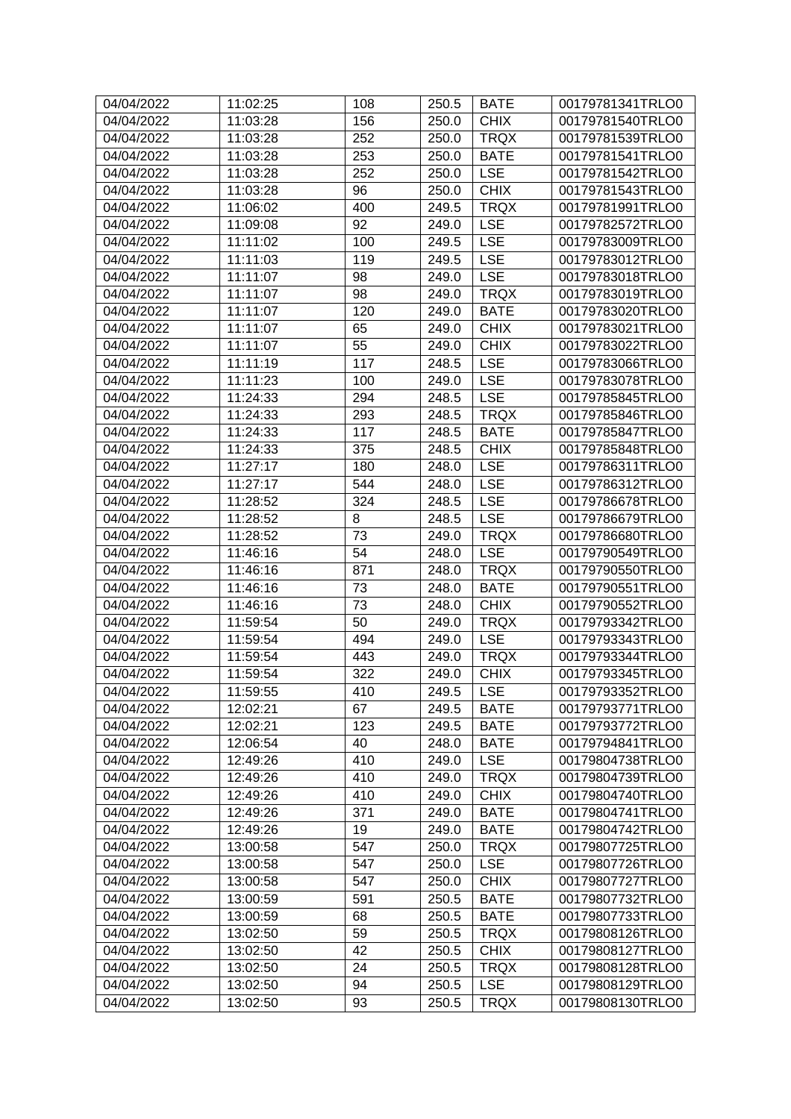| 04/04/2022               | 11:02:25             | 108        | 250.5          | <b>BATE</b>                | 00179781341TRLO0                     |
|--------------------------|----------------------|------------|----------------|----------------------------|--------------------------------------|
| 04/04/2022               | 11:03:28             | 156        | 250.0          | <b>CHIX</b>                | 00179781540TRLO0                     |
| 04/04/2022               | 11:03:28             | 252        | 250.0          | <b>TRQX</b>                | 00179781539TRLO0                     |
| 04/04/2022               | 11:03:28             | 253        | 250.0          | <b>BATE</b>                | 00179781541TRLO0                     |
| 04/04/2022               | 11:03:28             | 252        | 250.0          | <b>LSE</b>                 | 00179781542TRLO0                     |
| 04/04/2022               | 11:03:28             | 96         | 250.0          | <b>CHIX</b>                | 00179781543TRLO0                     |
| 04/04/2022               | 11:06:02             | 400        | 249.5          | <b>TRQX</b>                | 00179781991TRLO0                     |
| 04/04/2022               | 11:09:08             | 92         | 249.0          | <b>LSE</b>                 | 00179782572TRLO0                     |
| 04/04/2022               | 11:11:02             | 100        | 249.5          | <b>LSE</b>                 | 00179783009TRLO0                     |
| 04/04/2022               | 11:11:03             | 119        | 249.5          | <b>LSE</b>                 | 00179783012TRLO0                     |
| 04/04/2022               | 11:11:07             | 98         | 249.0          | <b>LSE</b>                 | 00179783018TRLO0                     |
| 04/04/2022               | 11:11:07             | 98         | 249.0          | <b>TRQX</b>                | 00179783019TRLO0                     |
| 04/04/2022               | 11:11:07             | 120        | 249.0          | <b>BATE</b>                | 00179783020TRLO0                     |
| 04/04/2022               | 11:11:07             | 65         | 249.0          | <b>CHIX</b>                | 00179783021TRLO0                     |
| 04/04/2022               | 11:11:07             | 55         | 249.0          | <b>CHIX</b>                | 00179783022TRLO0                     |
| 04/04/2022               | 11:11:19             | 117        | 248.5          | <b>LSE</b>                 | 00179783066TRLO0                     |
| 04/04/2022               | 11:11:23             | 100        | 249.0          | <b>LSE</b>                 | 00179783078TRLO0                     |
| 04/04/2022               | 11:24:33             | 294        | 248.5          | <b>LSE</b>                 | 00179785845TRLO0                     |
| 04/04/2022               | 11:24:33             | 293        | 248.5          | <b>TRQX</b>                | 00179785846TRLO0                     |
| 04/04/2022               | 11:24:33             | 117        | 248.5          | <b>BATE</b>                | 00179785847TRLO0                     |
| 04/04/2022               | 11:24:33             | 375        | 248.5          | <b>CHIX</b>                | 00179785848TRLO0                     |
| 04/04/2022               | 11:27:17             | 180        | 248.0          | <b>LSE</b>                 | 00179786311TRLO0                     |
| 04/04/2022               | 11:27:17             | 544        | 248.0          | <b>LSE</b>                 | 00179786312TRLO0                     |
| 04/04/2022               | 11:28:52             | 324        | 248.5          | <b>LSE</b>                 | 00179786678TRLO0                     |
| 04/04/2022               | 11:28:52             | 8          | 248.5          | <b>LSE</b>                 | 00179786679TRLO0                     |
| 04/04/2022               | 11:28:52             | 73         | 249.0          | <b>TRQX</b>                | 00179786680TRLO0                     |
| 04/04/2022               | 11:46:16             | 54         | 248.0          | <b>LSE</b>                 | 00179790549TRLO0                     |
| 04/04/2022               | 11:46:16             | 871        | 248.0          | <b>TRQX</b>                | 00179790550TRLO0                     |
| 04/04/2022               | 11:46:16             | 73         | 248.0          | <b>BATE</b>                | 00179790551TRLO0                     |
| 04/04/2022               | 11:46:16             | 73         | 248.0          | <b>CHIX</b>                | 00179790552TRLO0                     |
| 04/04/2022               | 11:59:54             | 50         | 249.0          | <b>TRQX</b>                | 00179793342TRLO0                     |
| 04/04/2022               | 11:59:54             | 494        | 249.0          | <b>LSE</b>                 | 00179793343TRLO0                     |
| 04/04/2022               | 11:59:54             | 443        | 249.0          | <b>TRQX</b>                | 00179793344TRLO0                     |
| 04/04/2022               | 11:59:54             | 322        | 249.0          | <b>CHIX</b>                | 00179793345TRLO0                     |
| 04/04/2022               | 11:59:55             | 410        | 249.5          | $ $ LSE                    | 00179793352TRLO0                     |
| 04/04/2022               | 12:02:21             | 67         | 249.5          | <b>BATE</b>                | 00179793771TRLO0                     |
| 04/04/2022               | 12:02:21             | 123        | 249.5          | <b>BATE</b>                | 00179793772TRLO0                     |
| 04/04/2022               | 12:06:54             | 40         | 248.0          | <b>BATE</b>                | 00179794841TRLO0                     |
|                          |                      |            |                | <b>LSE</b>                 |                                      |
| 04/04/2022<br>04/04/2022 | 12:49:26<br>12:49:26 | 410<br>410 | 249.0<br>249.0 | <b>TRQX</b>                | 00179804738TRLO0                     |
|                          | 12:49:26             | 410        |                | <b>CHIX</b>                | 00179804739TRLO0                     |
| 04/04/2022<br>04/04/2022 |                      | 371        | 249.0          |                            | 00179804740TRLO0<br>00179804741TRLO0 |
|                          | 12:49:26             |            | 249.0          | <b>BATE</b>                |                                      |
| 04/04/2022               | 12:49:26             | 19         | 249.0          | <b>BATE</b><br><b>TRQX</b> | 00179804742TRLO0<br>00179807725TRLO0 |
| 04/04/2022               | 13:00:58             | 547        | 250.0          |                            |                                      |
| 04/04/2022               | 13:00:58             | 547        | 250.0          | <b>LSE</b>                 | 00179807726TRLO0                     |
| 04/04/2022               | 13:00:58             | 547        | 250.0          | <b>CHIX</b>                | 00179807727TRLO0                     |
| 04/04/2022               | 13:00:59             | 591        | 250.5          | <b>BATE</b>                | 00179807732TRLO0                     |
| 04/04/2022               | 13:00:59             | 68         | 250.5          | <b>BATE</b>                | 00179807733TRLO0                     |
| 04/04/2022               | 13:02:50             | 59         | 250.5          | <b>TRQX</b>                | 00179808126TRLO0                     |
| 04/04/2022               | 13:02:50             | 42         | 250.5          | <b>CHIX</b>                | 00179808127TRLO0                     |
| 04/04/2022               | 13:02:50             | 24         | 250.5          | <b>TRQX</b>                | 00179808128TRLO0                     |
| 04/04/2022               | 13:02:50             | 94         | 250.5          | <b>LSE</b>                 | 00179808129TRLO0                     |
| 04/04/2022               | 13:02:50             | 93         | 250.5          | <b>TRQX</b>                | 00179808130TRLO0                     |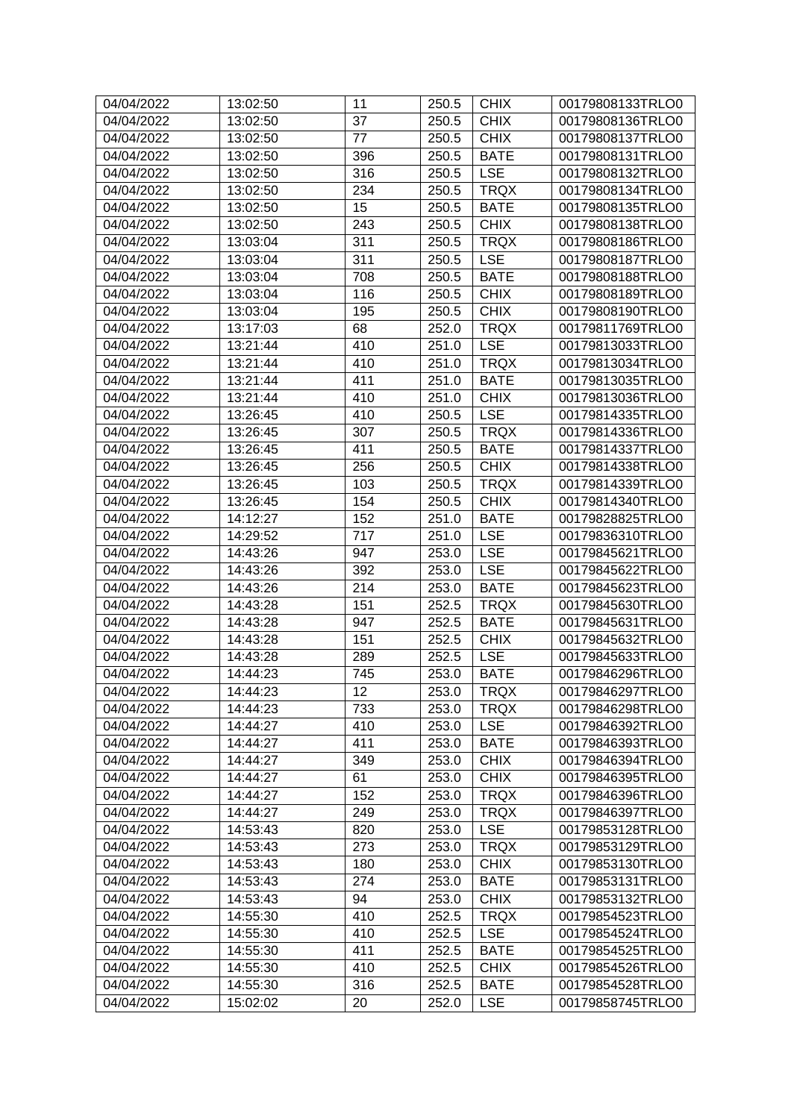| 37<br><b>CHIX</b><br>00179808136TRLO0<br>04/04/2022<br>13:02:50<br>250.5<br><b>CHIX</b><br>77<br>04/04/2022<br>13:02:50<br>250.5<br>00179808137TRLO0<br>396<br>04/04/2022<br>13:02:50<br>250.5<br><b>BATE</b><br>00179808131TRLO0<br><b>LSE</b><br>04/04/2022<br>13:02:50<br>316<br>250.5<br>00179808132TRLO0<br>234<br><b>TRQX</b><br>04/04/2022<br>13:02:50<br>250.5<br>00179808134TRLO0<br>04/04/2022<br>15<br><b>BATE</b><br>13:02:50<br>250.5<br>00179808135TRLO0<br><b>CHIX</b><br>04/04/2022<br>13:02:50<br>243<br>250.5<br>00179808138TRLO0<br>311<br>04/04/2022<br>250.5<br><b>TRQX</b><br>00179808186TRLO0<br>13:03:04<br>311<br><b>LSE</b><br>04/04/2022<br>13:03:04<br>250.5<br>00179808187TRLO0<br>708<br>04/04/2022<br>250.5<br><b>BATE</b><br>13:03:04<br>00179808188TRLO0<br>116<br><b>CHIX</b><br>04/04/2022<br>13:03:04<br>250.5<br>00179808189TRLO0<br>04/04/2022<br>195<br><b>CHIX</b><br>00179808190TRLO0<br>13:03:04<br>250.5<br>68<br><b>TRQX</b><br>04/04/2022<br>13:17:03<br>252.0<br>00179811769TRLO0<br>410<br><b>LSE</b><br>04/04/2022<br>13:21:44<br>00179813033TRLO0<br>251.0<br>410<br><b>TRQX</b><br>04/04/2022<br>13:21:44<br>251.0<br>00179813034TRLO0<br>411<br>04/04/2022<br>13:21:44<br>251.0<br><b>BATE</b><br>00179813035TRLO0<br>410<br><b>CHIX</b><br>04/04/2022<br>13:21:44<br>251.0<br>00179813036TRLO0<br>410<br><b>LSE</b><br>04/04/2022<br>13:26:45<br>00179814335TRLO0<br>250.5<br>04/04/2022<br>13:26:45<br>307<br><b>TRQX</b><br>00179814336TRLO0<br>250.5<br>411<br>04/04/2022<br>250.5<br><b>BATE</b><br>00179814337TRLO0<br>13:26:45<br>256<br><b>CHIX</b><br>04/04/2022<br>13:26:45<br>250.5<br>00179814338TRLO0<br>103<br>04/04/2022<br>13:26:45<br>250.5<br><b>TRQX</b><br>00179814339TRLO0<br>154<br><b>CHIX</b><br>04/04/2022<br>13:26:45<br>250.5<br>00179814340TRLO0<br>152<br>04/04/2022<br>14:12:27<br><b>BATE</b><br>00179828825TRLO0<br>251.0<br>04/04/2022<br>14:29:52<br>717<br><b>LSE</b><br>00179836310TRLO0<br>251.0<br>947<br><b>LSE</b><br>04/04/2022<br>00179845621TRLO0<br>14:43:26<br>253.0<br>392<br><b>LSE</b><br>04/04/2022<br>14:43:26<br>253.0<br>00179845622TRLO0<br>214<br>04/04/2022<br>14:43:26<br>253.0<br><b>BATE</b><br>00179845623TRLO0<br>04/04/2022<br>14:43:28<br>151<br>252.5<br><b>TRQX</b><br>00179845630TRLO0<br>04/04/2022<br>14:43:28<br>947<br><b>BATE</b><br>00179845631TRLO0<br>252.5<br>04/04/2022<br>14:43:28<br>151<br><b>CHIX</b><br>00179845632TRLO0<br>252.5<br><b>LSE</b><br>04/04/2022<br>289<br>14:43:28<br>252.5<br>00179845633TRLO0<br>04/04/2022<br>14:44:23<br><b>BATE</b><br>745<br>253.0<br>00179846296TRLO0<br>$\overline{12}$<br>14:44:23<br>253.0<br><b>TRQX</b><br>04/04/2022<br>00179846297TRLO0<br>04/04/2022<br>14:44:23<br>733<br>253.0<br><b>TRQX</b><br>00179846298TRLO0<br>410<br><b>LSE</b><br>04/04/2022<br>14:44:27<br>253.0<br>00179846392TRLO0<br>04/04/2022<br>14:44:27<br>411<br>253.0<br><b>BATE</b><br>00179846393TRLO0<br>349<br><b>CHIX</b><br>04/04/2022<br>14:44:27<br>253.0<br>00179846394TRLO0<br><b>CHIX</b><br>04/04/2022<br>61<br>14:44:27<br>253.0<br>00179846395TRLO0<br>152<br><b>TRQX</b><br>04/04/2022<br>14:44:27<br>00179846396TRLO0<br>253.0<br>04/04/2022<br>14:44:27<br>249<br><b>TRQX</b><br>00179846397TRLO0<br>253.0<br>04/04/2022<br>820<br><b>LSE</b><br>00179853128TRLO0<br>14:53:43<br>253.0<br><b>TRQX</b><br>04/04/2022<br>14:53:43<br>273<br>253.0<br>00179853129TRLO0<br><b>CHIX</b><br>04/04/2022<br>14:53:43<br>180<br>253.0<br>00179853130TRLO0<br>274<br><b>BATE</b><br>04/04/2022<br>14:53:43<br>253.0<br>00179853131TRLO0<br>94<br><b>CHIX</b><br>04/04/2022<br>14:53:43<br>253.0<br>00179853132TRLO0<br>04/04/2022<br>410<br><b>TRQX</b><br>14:55:30<br>252.5<br>00179854523TRLO0<br>14:55:30<br>410<br><b>LSE</b><br>04/04/2022<br>252.5<br>00179854524TRLO0<br>411<br>04/04/2022<br>14:55:30<br>252.5<br><b>BATE</b><br>00179854525TRLO0<br>410<br><b>CHIX</b><br>04/04/2022<br>14:55:30<br>252.5<br>00179854526TRLO0<br>04/04/2022<br>14:55:30<br>316<br><b>BATE</b><br>252.5<br>00179854528TRLO0<br>04/04/2022<br><b>LSE</b><br>15:02:02<br>20<br>252.0<br>00179858745TRLO0 | 04/04/2022 | 13:02:50 | 11 | 250.5 | <b>CHIX</b> | 00179808133TRLO0 |
|-----------------------------------------------------------------------------------------------------------------------------------------------------------------------------------------------------------------------------------------------------------------------------------------------------------------------------------------------------------------------------------------------------------------------------------------------------------------------------------------------------------------------------------------------------------------------------------------------------------------------------------------------------------------------------------------------------------------------------------------------------------------------------------------------------------------------------------------------------------------------------------------------------------------------------------------------------------------------------------------------------------------------------------------------------------------------------------------------------------------------------------------------------------------------------------------------------------------------------------------------------------------------------------------------------------------------------------------------------------------------------------------------------------------------------------------------------------------------------------------------------------------------------------------------------------------------------------------------------------------------------------------------------------------------------------------------------------------------------------------------------------------------------------------------------------------------------------------------------------------------------------------------------------------------------------------------------------------------------------------------------------------------------------------------------------------------------------------------------------------------------------------------------------------------------------------------------------------------------------------------------------------------------------------------------------------------------------------------------------------------------------------------------------------------------------------------------------------------------------------------------------------------------------------------------------------------------------------------------------------------------------------------------------------------------------------------------------------------------------------------------------------------------------------------------------------------------------------------------------------------------------------------------------------------------------------------------------------------------------------------------------------------------------------------------------------------------------------------------------------------------------------------------------------------------------------------------------------------------------------------------------------------------------------------------------------------------------------------------------------------------------------------------------------------------------------------------------------------------------------------------------------------------------------------------------------------------------------------------------------------------------------------------------------------------------------------------------------------------------------------------------------------------------------------------------------------------------------------------------------------------------------------------------------------------------------------------------------------------------------------------------------------------------------------------------------------------------------------------------------------------------------------------------|------------|----------|----|-------|-------------|------------------|
|                                                                                                                                                                                                                                                                                                                                                                                                                                                                                                                                                                                                                                                                                                                                                                                                                                                                                                                                                                                                                                                                                                                                                                                                                                                                                                                                                                                                                                                                                                                                                                                                                                                                                                                                                                                                                                                                                                                                                                                                                                                                                                                                                                                                                                                                                                                                                                                                                                                                                                                                                                                                                                                                                                                                                                                                                                                                                                                                                                                                                                                                                                                                                                                                                                                                                                                                                                                                                                                                                                                                                                                                                                                                                                                                                                                                                                                                                                                                                                                                                                                                                                                                                           |            |          |    |       |             |                  |
|                                                                                                                                                                                                                                                                                                                                                                                                                                                                                                                                                                                                                                                                                                                                                                                                                                                                                                                                                                                                                                                                                                                                                                                                                                                                                                                                                                                                                                                                                                                                                                                                                                                                                                                                                                                                                                                                                                                                                                                                                                                                                                                                                                                                                                                                                                                                                                                                                                                                                                                                                                                                                                                                                                                                                                                                                                                                                                                                                                                                                                                                                                                                                                                                                                                                                                                                                                                                                                                                                                                                                                                                                                                                                                                                                                                                                                                                                                                                                                                                                                                                                                                                                           |            |          |    |       |             |                  |
|                                                                                                                                                                                                                                                                                                                                                                                                                                                                                                                                                                                                                                                                                                                                                                                                                                                                                                                                                                                                                                                                                                                                                                                                                                                                                                                                                                                                                                                                                                                                                                                                                                                                                                                                                                                                                                                                                                                                                                                                                                                                                                                                                                                                                                                                                                                                                                                                                                                                                                                                                                                                                                                                                                                                                                                                                                                                                                                                                                                                                                                                                                                                                                                                                                                                                                                                                                                                                                                                                                                                                                                                                                                                                                                                                                                                                                                                                                                                                                                                                                                                                                                                                           |            |          |    |       |             |                  |
|                                                                                                                                                                                                                                                                                                                                                                                                                                                                                                                                                                                                                                                                                                                                                                                                                                                                                                                                                                                                                                                                                                                                                                                                                                                                                                                                                                                                                                                                                                                                                                                                                                                                                                                                                                                                                                                                                                                                                                                                                                                                                                                                                                                                                                                                                                                                                                                                                                                                                                                                                                                                                                                                                                                                                                                                                                                                                                                                                                                                                                                                                                                                                                                                                                                                                                                                                                                                                                                                                                                                                                                                                                                                                                                                                                                                                                                                                                                                                                                                                                                                                                                                                           |            |          |    |       |             |                  |
|                                                                                                                                                                                                                                                                                                                                                                                                                                                                                                                                                                                                                                                                                                                                                                                                                                                                                                                                                                                                                                                                                                                                                                                                                                                                                                                                                                                                                                                                                                                                                                                                                                                                                                                                                                                                                                                                                                                                                                                                                                                                                                                                                                                                                                                                                                                                                                                                                                                                                                                                                                                                                                                                                                                                                                                                                                                                                                                                                                                                                                                                                                                                                                                                                                                                                                                                                                                                                                                                                                                                                                                                                                                                                                                                                                                                                                                                                                                                                                                                                                                                                                                                                           |            |          |    |       |             |                  |
|                                                                                                                                                                                                                                                                                                                                                                                                                                                                                                                                                                                                                                                                                                                                                                                                                                                                                                                                                                                                                                                                                                                                                                                                                                                                                                                                                                                                                                                                                                                                                                                                                                                                                                                                                                                                                                                                                                                                                                                                                                                                                                                                                                                                                                                                                                                                                                                                                                                                                                                                                                                                                                                                                                                                                                                                                                                                                                                                                                                                                                                                                                                                                                                                                                                                                                                                                                                                                                                                                                                                                                                                                                                                                                                                                                                                                                                                                                                                                                                                                                                                                                                                                           |            |          |    |       |             |                  |
|                                                                                                                                                                                                                                                                                                                                                                                                                                                                                                                                                                                                                                                                                                                                                                                                                                                                                                                                                                                                                                                                                                                                                                                                                                                                                                                                                                                                                                                                                                                                                                                                                                                                                                                                                                                                                                                                                                                                                                                                                                                                                                                                                                                                                                                                                                                                                                                                                                                                                                                                                                                                                                                                                                                                                                                                                                                                                                                                                                                                                                                                                                                                                                                                                                                                                                                                                                                                                                                                                                                                                                                                                                                                                                                                                                                                                                                                                                                                                                                                                                                                                                                                                           |            |          |    |       |             |                  |
|                                                                                                                                                                                                                                                                                                                                                                                                                                                                                                                                                                                                                                                                                                                                                                                                                                                                                                                                                                                                                                                                                                                                                                                                                                                                                                                                                                                                                                                                                                                                                                                                                                                                                                                                                                                                                                                                                                                                                                                                                                                                                                                                                                                                                                                                                                                                                                                                                                                                                                                                                                                                                                                                                                                                                                                                                                                                                                                                                                                                                                                                                                                                                                                                                                                                                                                                                                                                                                                                                                                                                                                                                                                                                                                                                                                                                                                                                                                                                                                                                                                                                                                                                           |            |          |    |       |             |                  |
|                                                                                                                                                                                                                                                                                                                                                                                                                                                                                                                                                                                                                                                                                                                                                                                                                                                                                                                                                                                                                                                                                                                                                                                                                                                                                                                                                                                                                                                                                                                                                                                                                                                                                                                                                                                                                                                                                                                                                                                                                                                                                                                                                                                                                                                                                                                                                                                                                                                                                                                                                                                                                                                                                                                                                                                                                                                                                                                                                                                                                                                                                                                                                                                                                                                                                                                                                                                                                                                                                                                                                                                                                                                                                                                                                                                                                                                                                                                                                                                                                                                                                                                                                           |            |          |    |       |             |                  |
|                                                                                                                                                                                                                                                                                                                                                                                                                                                                                                                                                                                                                                                                                                                                                                                                                                                                                                                                                                                                                                                                                                                                                                                                                                                                                                                                                                                                                                                                                                                                                                                                                                                                                                                                                                                                                                                                                                                                                                                                                                                                                                                                                                                                                                                                                                                                                                                                                                                                                                                                                                                                                                                                                                                                                                                                                                                                                                                                                                                                                                                                                                                                                                                                                                                                                                                                                                                                                                                                                                                                                                                                                                                                                                                                                                                                                                                                                                                                                                                                                                                                                                                                                           |            |          |    |       |             |                  |
|                                                                                                                                                                                                                                                                                                                                                                                                                                                                                                                                                                                                                                                                                                                                                                                                                                                                                                                                                                                                                                                                                                                                                                                                                                                                                                                                                                                                                                                                                                                                                                                                                                                                                                                                                                                                                                                                                                                                                                                                                                                                                                                                                                                                                                                                                                                                                                                                                                                                                                                                                                                                                                                                                                                                                                                                                                                                                                                                                                                                                                                                                                                                                                                                                                                                                                                                                                                                                                                                                                                                                                                                                                                                                                                                                                                                                                                                                                                                                                                                                                                                                                                                                           |            |          |    |       |             |                  |
|                                                                                                                                                                                                                                                                                                                                                                                                                                                                                                                                                                                                                                                                                                                                                                                                                                                                                                                                                                                                                                                                                                                                                                                                                                                                                                                                                                                                                                                                                                                                                                                                                                                                                                                                                                                                                                                                                                                                                                                                                                                                                                                                                                                                                                                                                                                                                                                                                                                                                                                                                                                                                                                                                                                                                                                                                                                                                                                                                                                                                                                                                                                                                                                                                                                                                                                                                                                                                                                                                                                                                                                                                                                                                                                                                                                                                                                                                                                                                                                                                                                                                                                                                           |            |          |    |       |             |                  |
|                                                                                                                                                                                                                                                                                                                                                                                                                                                                                                                                                                                                                                                                                                                                                                                                                                                                                                                                                                                                                                                                                                                                                                                                                                                                                                                                                                                                                                                                                                                                                                                                                                                                                                                                                                                                                                                                                                                                                                                                                                                                                                                                                                                                                                                                                                                                                                                                                                                                                                                                                                                                                                                                                                                                                                                                                                                                                                                                                                                                                                                                                                                                                                                                                                                                                                                                                                                                                                                                                                                                                                                                                                                                                                                                                                                                                                                                                                                                                                                                                                                                                                                                                           |            |          |    |       |             |                  |
|                                                                                                                                                                                                                                                                                                                                                                                                                                                                                                                                                                                                                                                                                                                                                                                                                                                                                                                                                                                                                                                                                                                                                                                                                                                                                                                                                                                                                                                                                                                                                                                                                                                                                                                                                                                                                                                                                                                                                                                                                                                                                                                                                                                                                                                                                                                                                                                                                                                                                                                                                                                                                                                                                                                                                                                                                                                                                                                                                                                                                                                                                                                                                                                                                                                                                                                                                                                                                                                                                                                                                                                                                                                                                                                                                                                                                                                                                                                                                                                                                                                                                                                                                           |            |          |    |       |             |                  |
|                                                                                                                                                                                                                                                                                                                                                                                                                                                                                                                                                                                                                                                                                                                                                                                                                                                                                                                                                                                                                                                                                                                                                                                                                                                                                                                                                                                                                                                                                                                                                                                                                                                                                                                                                                                                                                                                                                                                                                                                                                                                                                                                                                                                                                                                                                                                                                                                                                                                                                                                                                                                                                                                                                                                                                                                                                                                                                                                                                                                                                                                                                                                                                                                                                                                                                                                                                                                                                                                                                                                                                                                                                                                                                                                                                                                                                                                                                                                                                                                                                                                                                                                                           |            |          |    |       |             |                  |
|                                                                                                                                                                                                                                                                                                                                                                                                                                                                                                                                                                                                                                                                                                                                                                                                                                                                                                                                                                                                                                                                                                                                                                                                                                                                                                                                                                                                                                                                                                                                                                                                                                                                                                                                                                                                                                                                                                                                                                                                                                                                                                                                                                                                                                                                                                                                                                                                                                                                                                                                                                                                                                                                                                                                                                                                                                                                                                                                                                                                                                                                                                                                                                                                                                                                                                                                                                                                                                                                                                                                                                                                                                                                                                                                                                                                                                                                                                                                                                                                                                                                                                                                                           |            |          |    |       |             |                  |
|                                                                                                                                                                                                                                                                                                                                                                                                                                                                                                                                                                                                                                                                                                                                                                                                                                                                                                                                                                                                                                                                                                                                                                                                                                                                                                                                                                                                                                                                                                                                                                                                                                                                                                                                                                                                                                                                                                                                                                                                                                                                                                                                                                                                                                                                                                                                                                                                                                                                                                                                                                                                                                                                                                                                                                                                                                                                                                                                                                                                                                                                                                                                                                                                                                                                                                                                                                                                                                                                                                                                                                                                                                                                                                                                                                                                                                                                                                                                                                                                                                                                                                                                                           |            |          |    |       |             |                  |
|                                                                                                                                                                                                                                                                                                                                                                                                                                                                                                                                                                                                                                                                                                                                                                                                                                                                                                                                                                                                                                                                                                                                                                                                                                                                                                                                                                                                                                                                                                                                                                                                                                                                                                                                                                                                                                                                                                                                                                                                                                                                                                                                                                                                                                                                                                                                                                                                                                                                                                                                                                                                                                                                                                                                                                                                                                                                                                                                                                                                                                                                                                                                                                                                                                                                                                                                                                                                                                                                                                                                                                                                                                                                                                                                                                                                                                                                                                                                                                                                                                                                                                                                                           |            |          |    |       |             |                  |
|                                                                                                                                                                                                                                                                                                                                                                                                                                                                                                                                                                                                                                                                                                                                                                                                                                                                                                                                                                                                                                                                                                                                                                                                                                                                                                                                                                                                                                                                                                                                                                                                                                                                                                                                                                                                                                                                                                                                                                                                                                                                                                                                                                                                                                                                                                                                                                                                                                                                                                                                                                                                                                                                                                                                                                                                                                                                                                                                                                                                                                                                                                                                                                                                                                                                                                                                                                                                                                                                                                                                                                                                                                                                                                                                                                                                                                                                                                                                                                                                                                                                                                                                                           |            |          |    |       |             |                  |
|                                                                                                                                                                                                                                                                                                                                                                                                                                                                                                                                                                                                                                                                                                                                                                                                                                                                                                                                                                                                                                                                                                                                                                                                                                                                                                                                                                                                                                                                                                                                                                                                                                                                                                                                                                                                                                                                                                                                                                                                                                                                                                                                                                                                                                                                                                                                                                                                                                                                                                                                                                                                                                                                                                                                                                                                                                                                                                                                                                                                                                                                                                                                                                                                                                                                                                                                                                                                                                                                                                                                                                                                                                                                                                                                                                                                                                                                                                                                                                                                                                                                                                                                                           |            |          |    |       |             |                  |
|                                                                                                                                                                                                                                                                                                                                                                                                                                                                                                                                                                                                                                                                                                                                                                                                                                                                                                                                                                                                                                                                                                                                                                                                                                                                                                                                                                                                                                                                                                                                                                                                                                                                                                                                                                                                                                                                                                                                                                                                                                                                                                                                                                                                                                                                                                                                                                                                                                                                                                                                                                                                                                                                                                                                                                                                                                                                                                                                                                                                                                                                                                                                                                                                                                                                                                                                                                                                                                                                                                                                                                                                                                                                                                                                                                                                                                                                                                                                                                                                                                                                                                                                                           |            |          |    |       |             |                  |
|                                                                                                                                                                                                                                                                                                                                                                                                                                                                                                                                                                                                                                                                                                                                                                                                                                                                                                                                                                                                                                                                                                                                                                                                                                                                                                                                                                                                                                                                                                                                                                                                                                                                                                                                                                                                                                                                                                                                                                                                                                                                                                                                                                                                                                                                                                                                                                                                                                                                                                                                                                                                                                                                                                                                                                                                                                                                                                                                                                                                                                                                                                                                                                                                                                                                                                                                                                                                                                                                                                                                                                                                                                                                                                                                                                                                                                                                                                                                                                                                                                                                                                                                                           |            |          |    |       |             |                  |
|                                                                                                                                                                                                                                                                                                                                                                                                                                                                                                                                                                                                                                                                                                                                                                                                                                                                                                                                                                                                                                                                                                                                                                                                                                                                                                                                                                                                                                                                                                                                                                                                                                                                                                                                                                                                                                                                                                                                                                                                                                                                                                                                                                                                                                                                                                                                                                                                                                                                                                                                                                                                                                                                                                                                                                                                                                                                                                                                                                                                                                                                                                                                                                                                                                                                                                                                                                                                                                                                                                                                                                                                                                                                                                                                                                                                                                                                                                                                                                                                                                                                                                                                                           |            |          |    |       |             |                  |
|                                                                                                                                                                                                                                                                                                                                                                                                                                                                                                                                                                                                                                                                                                                                                                                                                                                                                                                                                                                                                                                                                                                                                                                                                                                                                                                                                                                                                                                                                                                                                                                                                                                                                                                                                                                                                                                                                                                                                                                                                                                                                                                                                                                                                                                                                                                                                                                                                                                                                                                                                                                                                                                                                                                                                                                                                                                                                                                                                                                                                                                                                                                                                                                                                                                                                                                                                                                                                                                                                                                                                                                                                                                                                                                                                                                                                                                                                                                                                                                                                                                                                                                                                           |            |          |    |       |             |                  |
|                                                                                                                                                                                                                                                                                                                                                                                                                                                                                                                                                                                                                                                                                                                                                                                                                                                                                                                                                                                                                                                                                                                                                                                                                                                                                                                                                                                                                                                                                                                                                                                                                                                                                                                                                                                                                                                                                                                                                                                                                                                                                                                                                                                                                                                                                                                                                                                                                                                                                                                                                                                                                                                                                                                                                                                                                                                                                                                                                                                                                                                                                                                                                                                                                                                                                                                                                                                                                                                                                                                                                                                                                                                                                                                                                                                                                                                                                                                                                                                                                                                                                                                                                           |            |          |    |       |             |                  |
|                                                                                                                                                                                                                                                                                                                                                                                                                                                                                                                                                                                                                                                                                                                                                                                                                                                                                                                                                                                                                                                                                                                                                                                                                                                                                                                                                                                                                                                                                                                                                                                                                                                                                                                                                                                                                                                                                                                                                                                                                                                                                                                                                                                                                                                                                                                                                                                                                                                                                                                                                                                                                                                                                                                                                                                                                                                                                                                                                                                                                                                                                                                                                                                                                                                                                                                                                                                                                                                                                                                                                                                                                                                                                                                                                                                                                                                                                                                                                                                                                                                                                                                                                           |            |          |    |       |             |                  |
|                                                                                                                                                                                                                                                                                                                                                                                                                                                                                                                                                                                                                                                                                                                                                                                                                                                                                                                                                                                                                                                                                                                                                                                                                                                                                                                                                                                                                                                                                                                                                                                                                                                                                                                                                                                                                                                                                                                                                                                                                                                                                                                                                                                                                                                                                                                                                                                                                                                                                                                                                                                                                                                                                                                                                                                                                                                                                                                                                                                                                                                                                                                                                                                                                                                                                                                                                                                                                                                                                                                                                                                                                                                                                                                                                                                                                                                                                                                                                                                                                                                                                                                                                           |            |          |    |       |             |                  |
|                                                                                                                                                                                                                                                                                                                                                                                                                                                                                                                                                                                                                                                                                                                                                                                                                                                                                                                                                                                                                                                                                                                                                                                                                                                                                                                                                                                                                                                                                                                                                                                                                                                                                                                                                                                                                                                                                                                                                                                                                                                                                                                                                                                                                                                                                                                                                                                                                                                                                                                                                                                                                                                                                                                                                                                                                                                                                                                                                                                                                                                                                                                                                                                                                                                                                                                                                                                                                                                                                                                                                                                                                                                                                                                                                                                                                                                                                                                                                                                                                                                                                                                                                           |            |          |    |       |             |                  |
|                                                                                                                                                                                                                                                                                                                                                                                                                                                                                                                                                                                                                                                                                                                                                                                                                                                                                                                                                                                                                                                                                                                                                                                                                                                                                                                                                                                                                                                                                                                                                                                                                                                                                                                                                                                                                                                                                                                                                                                                                                                                                                                                                                                                                                                                                                                                                                                                                                                                                                                                                                                                                                                                                                                                                                                                                                                                                                                                                                                                                                                                                                                                                                                                                                                                                                                                                                                                                                                                                                                                                                                                                                                                                                                                                                                                                                                                                                                                                                                                                                                                                                                                                           |            |          |    |       |             |                  |
|                                                                                                                                                                                                                                                                                                                                                                                                                                                                                                                                                                                                                                                                                                                                                                                                                                                                                                                                                                                                                                                                                                                                                                                                                                                                                                                                                                                                                                                                                                                                                                                                                                                                                                                                                                                                                                                                                                                                                                                                                                                                                                                                                                                                                                                                                                                                                                                                                                                                                                                                                                                                                                                                                                                                                                                                                                                                                                                                                                                                                                                                                                                                                                                                                                                                                                                                                                                                                                                                                                                                                                                                                                                                                                                                                                                                                                                                                                                                                                                                                                                                                                                                                           |            |          |    |       |             |                  |
|                                                                                                                                                                                                                                                                                                                                                                                                                                                                                                                                                                                                                                                                                                                                                                                                                                                                                                                                                                                                                                                                                                                                                                                                                                                                                                                                                                                                                                                                                                                                                                                                                                                                                                                                                                                                                                                                                                                                                                                                                                                                                                                                                                                                                                                                                                                                                                                                                                                                                                                                                                                                                                                                                                                                                                                                                                                                                                                                                                                                                                                                                                                                                                                                                                                                                                                                                                                                                                                                                                                                                                                                                                                                                                                                                                                                                                                                                                                                                                                                                                                                                                                                                           |            |          |    |       |             |                  |
|                                                                                                                                                                                                                                                                                                                                                                                                                                                                                                                                                                                                                                                                                                                                                                                                                                                                                                                                                                                                                                                                                                                                                                                                                                                                                                                                                                                                                                                                                                                                                                                                                                                                                                                                                                                                                                                                                                                                                                                                                                                                                                                                                                                                                                                                                                                                                                                                                                                                                                                                                                                                                                                                                                                                                                                                                                                                                                                                                                                                                                                                                                                                                                                                                                                                                                                                                                                                                                                                                                                                                                                                                                                                                                                                                                                                                                                                                                                                                                                                                                                                                                                                                           |            |          |    |       |             |                  |
|                                                                                                                                                                                                                                                                                                                                                                                                                                                                                                                                                                                                                                                                                                                                                                                                                                                                                                                                                                                                                                                                                                                                                                                                                                                                                                                                                                                                                                                                                                                                                                                                                                                                                                                                                                                                                                                                                                                                                                                                                                                                                                                                                                                                                                                                                                                                                                                                                                                                                                                                                                                                                                                                                                                                                                                                                                                                                                                                                                                                                                                                                                                                                                                                                                                                                                                                                                                                                                                                                                                                                                                                                                                                                                                                                                                                                                                                                                                                                                                                                                                                                                                                                           |            |          |    |       |             |                  |
|                                                                                                                                                                                                                                                                                                                                                                                                                                                                                                                                                                                                                                                                                                                                                                                                                                                                                                                                                                                                                                                                                                                                                                                                                                                                                                                                                                                                                                                                                                                                                                                                                                                                                                                                                                                                                                                                                                                                                                                                                                                                                                                                                                                                                                                                                                                                                                                                                                                                                                                                                                                                                                                                                                                                                                                                                                                                                                                                                                                                                                                                                                                                                                                                                                                                                                                                                                                                                                                                                                                                                                                                                                                                                                                                                                                                                                                                                                                                                                                                                                                                                                                                                           |            |          |    |       |             |                  |
|                                                                                                                                                                                                                                                                                                                                                                                                                                                                                                                                                                                                                                                                                                                                                                                                                                                                                                                                                                                                                                                                                                                                                                                                                                                                                                                                                                                                                                                                                                                                                                                                                                                                                                                                                                                                                                                                                                                                                                                                                                                                                                                                                                                                                                                                                                                                                                                                                                                                                                                                                                                                                                                                                                                                                                                                                                                                                                                                                                                                                                                                                                                                                                                                                                                                                                                                                                                                                                                                                                                                                                                                                                                                                                                                                                                                                                                                                                                                                                                                                                                                                                                                                           |            |          |    |       |             |                  |
|                                                                                                                                                                                                                                                                                                                                                                                                                                                                                                                                                                                                                                                                                                                                                                                                                                                                                                                                                                                                                                                                                                                                                                                                                                                                                                                                                                                                                                                                                                                                                                                                                                                                                                                                                                                                                                                                                                                                                                                                                                                                                                                                                                                                                                                                                                                                                                                                                                                                                                                                                                                                                                                                                                                                                                                                                                                                                                                                                                                                                                                                                                                                                                                                                                                                                                                                                                                                                                                                                                                                                                                                                                                                                                                                                                                                                                                                                                                                                                                                                                                                                                                                                           |            |          |    |       |             |                  |
|                                                                                                                                                                                                                                                                                                                                                                                                                                                                                                                                                                                                                                                                                                                                                                                                                                                                                                                                                                                                                                                                                                                                                                                                                                                                                                                                                                                                                                                                                                                                                                                                                                                                                                                                                                                                                                                                                                                                                                                                                                                                                                                                                                                                                                                                                                                                                                                                                                                                                                                                                                                                                                                                                                                                                                                                                                                                                                                                                                                                                                                                                                                                                                                                                                                                                                                                                                                                                                                                                                                                                                                                                                                                                                                                                                                                                                                                                                                                                                                                                                                                                                                                                           |            |          |    |       |             |                  |
|                                                                                                                                                                                                                                                                                                                                                                                                                                                                                                                                                                                                                                                                                                                                                                                                                                                                                                                                                                                                                                                                                                                                                                                                                                                                                                                                                                                                                                                                                                                                                                                                                                                                                                                                                                                                                                                                                                                                                                                                                                                                                                                                                                                                                                                                                                                                                                                                                                                                                                                                                                                                                                                                                                                                                                                                                                                                                                                                                                                                                                                                                                                                                                                                                                                                                                                                                                                                                                                                                                                                                                                                                                                                                                                                                                                                                                                                                                                                                                                                                                                                                                                                                           |            |          |    |       |             |                  |
|                                                                                                                                                                                                                                                                                                                                                                                                                                                                                                                                                                                                                                                                                                                                                                                                                                                                                                                                                                                                                                                                                                                                                                                                                                                                                                                                                                                                                                                                                                                                                                                                                                                                                                                                                                                                                                                                                                                                                                                                                                                                                                                                                                                                                                                                                                                                                                                                                                                                                                                                                                                                                                                                                                                                                                                                                                                                                                                                                                                                                                                                                                                                                                                                                                                                                                                                                                                                                                                                                                                                                                                                                                                                                                                                                                                                                                                                                                                                                                                                                                                                                                                                                           |            |          |    |       |             |                  |
|                                                                                                                                                                                                                                                                                                                                                                                                                                                                                                                                                                                                                                                                                                                                                                                                                                                                                                                                                                                                                                                                                                                                                                                                                                                                                                                                                                                                                                                                                                                                                                                                                                                                                                                                                                                                                                                                                                                                                                                                                                                                                                                                                                                                                                                                                                                                                                                                                                                                                                                                                                                                                                                                                                                                                                                                                                                                                                                                                                                                                                                                                                                                                                                                                                                                                                                                                                                                                                                                                                                                                                                                                                                                                                                                                                                                                                                                                                                                                                                                                                                                                                                                                           |            |          |    |       |             |                  |
|                                                                                                                                                                                                                                                                                                                                                                                                                                                                                                                                                                                                                                                                                                                                                                                                                                                                                                                                                                                                                                                                                                                                                                                                                                                                                                                                                                                                                                                                                                                                                                                                                                                                                                                                                                                                                                                                                                                                                                                                                                                                                                                                                                                                                                                                                                                                                                                                                                                                                                                                                                                                                                                                                                                                                                                                                                                                                                                                                                                                                                                                                                                                                                                                                                                                                                                                                                                                                                                                                                                                                                                                                                                                                                                                                                                                                                                                                                                                                                                                                                                                                                                                                           |            |          |    |       |             |                  |
|                                                                                                                                                                                                                                                                                                                                                                                                                                                                                                                                                                                                                                                                                                                                                                                                                                                                                                                                                                                                                                                                                                                                                                                                                                                                                                                                                                                                                                                                                                                                                                                                                                                                                                                                                                                                                                                                                                                                                                                                                                                                                                                                                                                                                                                                                                                                                                                                                                                                                                                                                                                                                                                                                                                                                                                                                                                                                                                                                                                                                                                                                                                                                                                                                                                                                                                                                                                                                                                                                                                                                                                                                                                                                                                                                                                                                                                                                                                                                                                                                                                                                                                                                           |            |          |    |       |             |                  |
|                                                                                                                                                                                                                                                                                                                                                                                                                                                                                                                                                                                                                                                                                                                                                                                                                                                                                                                                                                                                                                                                                                                                                                                                                                                                                                                                                                                                                                                                                                                                                                                                                                                                                                                                                                                                                                                                                                                                                                                                                                                                                                                                                                                                                                                                                                                                                                                                                                                                                                                                                                                                                                                                                                                                                                                                                                                                                                                                                                                                                                                                                                                                                                                                                                                                                                                                                                                                                                                                                                                                                                                                                                                                                                                                                                                                                                                                                                                                                                                                                                                                                                                                                           |            |          |    |       |             |                  |
|                                                                                                                                                                                                                                                                                                                                                                                                                                                                                                                                                                                                                                                                                                                                                                                                                                                                                                                                                                                                                                                                                                                                                                                                                                                                                                                                                                                                                                                                                                                                                                                                                                                                                                                                                                                                                                                                                                                                                                                                                                                                                                                                                                                                                                                                                                                                                                                                                                                                                                                                                                                                                                                                                                                                                                                                                                                                                                                                                                                                                                                                                                                                                                                                                                                                                                                                                                                                                                                                                                                                                                                                                                                                                                                                                                                                                                                                                                                                                                                                                                                                                                                                                           |            |          |    |       |             |                  |
|                                                                                                                                                                                                                                                                                                                                                                                                                                                                                                                                                                                                                                                                                                                                                                                                                                                                                                                                                                                                                                                                                                                                                                                                                                                                                                                                                                                                                                                                                                                                                                                                                                                                                                                                                                                                                                                                                                                                                                                                                                                                                                                                                                                                                                                                                                                                                                                                                                                                                                                                                                                                                                                                                                                                                                                                                                                                                                                                                                                                                                                                                                                                                                                                                                                                                                                                                                                                                                                                                                                                                                                                                                                                                                                                                                                                                                                                                                                                                                                                                                                                                                                                                           |            |          |    |       |             |                  |
|                                                                                                                                                                                                                                                                                                                                                                                                                                                                                                                                                                                                                                                                                                                                                                                                                                                                                                                                                                                                                                                                                                                                                                                                                                                                                                                                                                                                                                                                                                                                                                                                                                                                                                                                                                                                                                                                                                                                                                                                                                                                                                                                                                                                                                                                                                                                                                                                                                                                                                                                                                                                                                                                                                                                                                                                                                                                                                                                                                                                                                                                                                                                                                                                                                                                                                                                                                                                                                                                                                                                                                                                                                                                                                                                                                                                                                                                                                                                                                                                                                                                                                                                                           |            |          |    |       |             |                  |
|                                                                                                                                                                                                                                                                                                                                                                                                                                                                                                                                                                                                                                                                                                                                                                                                                                                                                                                                                                                                                                                                                                                                                                                                                                                                                                                                                                                                                                                                                                                                                                                                                                                                                                                                                                                                                                                                                                                                                                                                                                                                                                                                                                                                                                                                                                                                                                                                                                                                                                                                                                                                                                                                                                                                                                                                                                                                                                                                                                                                                                                                                                                                                                                                                                                                                                                                                                                                                                                                                                                                                                                                                                                                                                                                                                                                                                                                                                                                                                                                                                                                                                                                                           |            |          |    |       |             |                  |
|                                                                                                                                                                                                                                                                                                                                                                                                                                                                                                                                                                                                                                                                                                                                                                                                                                                                                                                                                                                                                                                                                                                                                                                                                                                                                                                                                                                                                                                                                                                                                                                                                                                                                                                                                                                                                                                                                                                                                                                                                                                                                                                                                                                                                                                                                                                                                                                                                                                                                                                                                                                                                                                                                                                                                                                                                                                                                                                                                                                                                                                                                                                                                                                                                                                                                                                                                                                                                                                                                                                                                                                                                                                                                                                                                                                                                                                                                                                                                                                                                                                                                                                                                           |            |          |    |       |             |                  |
|                                                                                                                                                                                                                                                                                                                                                                                                                                                                                                                                                                                                                                                                                                                                                                                                                                                                                                                                                                                                                                                                                                                                                                                                                                                                                                                                                                                                                                                                                                                                                                                                                                                                                                                                                                                                                                                                                                                                                                                                                                                                                                                                                                                                                                                                                                                                                                                                                                                                                                                                                                                                                                                                                                                                                                                                                                                                                                                                                                                                                                                                                                                                                                                                                                                                                                                                                                                                                                                                                                                                                                                                                                                                                                                                                                                                                                                                                                                                                                                                                                                                                                                                                           |            |          |    |       |             |                  |
|                                                                                                                                                                                                                                                                                                                                                                                                                                                                                                                                                                                                                                                                                                                                                                                                                                                                                                                                                                                                                                                                                                                                                                                                                                                                                                                                                                                                                                                                                                                                                                                                                                                                                                                                                                                                                                                                                                                                                                                                                                                                                                                                                                                                                                                                                                                                                                                                                                                                                                                                                                                                                                                                                                                                                                                                                                                                                                                                                                                                                                                                                                                                                                                                                                                                                                                                                                                                                                                                                                                                                                                                                                                                                                                                                                                                                                                                                                                                                                                                                                                                                                                                                           |            |          |    |       |             |                  |
|                                                                                                                                                                                                                                                                                                                                                                                                                                                                                                                                                                                                                                                                                                                                                                                                                                                                                                                                                                                                                                                                                                                                                                                                                                                                                                                                                                                                                                                                                                                                                                                                                                                                                                                                                                                                                                                                                                                                                                                                                                                                                                                                                                                                                                                                                                                                                                                                                                                                                                                                                                                                                                                                                                                                                                                                                                                                                                                                                                                                                                                                                                                                                                                                                                                                                                                                                                                                                                                                                                                                                                                                                                                                                                                                                                                                                                                                                                                                                                                                                                                                                                                                                           |            |          |    |       |             |                  |
|                                                                                                                                                                                                                                                                                                                                                                                                                                                                                                                                                                                                                                                                                                                                                                                                                                                                                                                                                                                                                                                                                                                                                                                                                                                                                                                                                                                                                                                                                                                                                                                                                                                                                                                                                                                                                                                                                                                                                                                                                                                                                                                                                                                                                                                                                                                                                                                                                                                                                                                                                                                                                                                                                                                                                                                                                                                                                                                                                                                                                                                                                                                                                                                                                                                                                                                                                                                                                                                                                                                                                                                                                                                                                                                                                                                                                                                                                                                                                                                                                                                                                                                                                           |            |          |    |       |             |                  |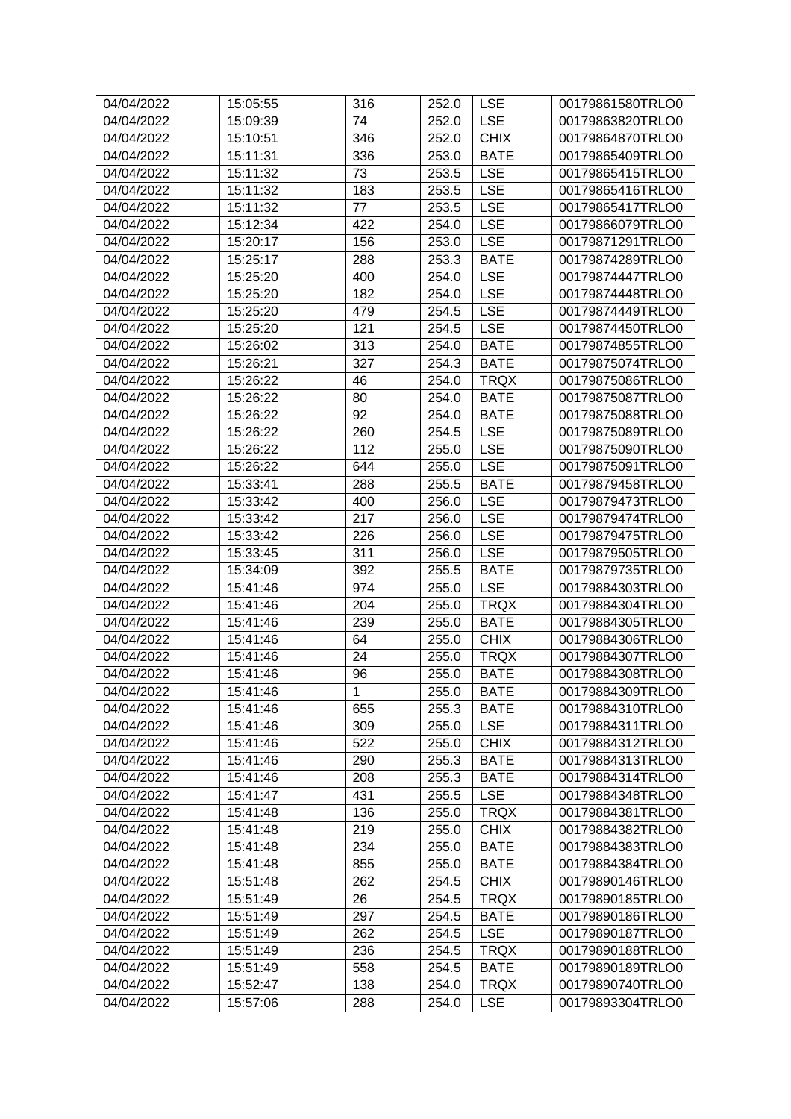| 04/04/2022 | 15:05:55 | 316         | 252.0 | <b>LSE</b>  | 00179861580TRLO0 |
|------------|----------|-------------|-------|-------------|------------------|
| 04/04/2022 | 15:09:39 | 74          | 252.0 | <b>LSE</b>  | 00179863820TRLO0 |
| 04/04/2022 | 15:10:51 | 346         | 252.0 | <b>CHIX</b> | 00179864870TRLO0 |
| 04/04/2022 | 15:11:31 | 336         | 253.0 | <b>BATE</b> | 00179865409TRLO0 |
| 04/04/2022 | 15:11:32 | 73          | 253.5 | <b>LSE</b>  | 00179865415TRLO0 |
| 04/04/2022 | 15:11:32 | 183         | 253.5 | <b>LSE</b>  | 00179865416TRLO0 |
| 04/04/2022 | 15:11:32 | 77          | 253.5 | <b>LSE</b>  | 00179865417TRLO0 |
| 04/04/2022 | 15:12:34 | 422         | 254.0 | <b>LSE</b>  | 00179866079TRLO0 |
| 04/04/2022 | 15:20:17 | 156         | 253.0 | <b>LSE</b>  | 00179871291TRLO0 |
| 04/04/2022 | 15:25:17 | 288         | 253.3 | <b>BATE</b> | 00179874289TRLO0 |
| 04/04/2022 | 15:25:20 | 400         | 254.0 | <b>LSE</b>  | 00179874447TRLO0 |
| 04/04/2022 | 15:25:20 | 182         | 254.0 | <b>LSE</b>  | 00179874448TRLO0 |
| 04/04/2022 | 15:25:20 | 479         | 254.5 | <b>LSE</b>  | 00179874449TRLO0 |
| 04/04/2022 | 15:25:20 | 121         | 254.5 | <b>LSE</b>  | 00179874450TRLO0 |
| 04/04/2022 | 15:26:02 | 313         | 254.0 | <b>BATE</b> | 00179874855TRLO0 |
| 04/04/2022 | 15:26:21 | 327         | 254.3 | <b>BATE</b> | 00179875074TRLO0 |
| 04/04/2022 | 15:26:22 | 46          | 254.0 | <b>TRQX</b> | 00179875086TRLO0 |
| 04/04/2022 | 15:26:22 | 80          | 254.0 | <b>BATE</b> | 00179875087TRLO0 |
| 04/04/2022 | 15:26:22 | 92          | 254.0 | <b>BATE</b> | 00179875088TRLO0 |
| 04/04/2022 | 15:26:22 | 260         | 254.5 | <b>LSE</b>  | 00179875089TRLO0 |
| 04/04/2022 | 15:26:22 | 112         | 255.0 | <b>LSE</b>  | 00179875090TRLO0 |
| 04/04/2022 | 15:26:22 | 644         | 255.0 | <b>LSE</b>  | 00179875091TRLO0 |
| 04/04/2022 | 15:33:41 | 288         | 255.5 | <b>BATE</b> | 00179879458TRLO0 |
| 04/04/2022 | 15:33:42 | 400         | 256.0 | <b>LSE</b>  | 00179879473TRLO0 |
| 04/04/2022 | 15:33:42 | 217         | 256.0 | <b>LSE</b>  | 00179879474TRLO0 |
| 04/04/2022 | 15:33:42 | 226         | 256.0 | <b>LSE</b>  | 00179879475TRLO0 |
| 04/04/2022 | 15:33:45 | 311         | 256.0 | <b>LSE</b>  | 00179879505TRLO0 |
| 04/04/2022 | 15:34:09 | 392         | 255.5 | <b>BATE</b> | 00179879735TRLO0 |
| 04/04/2022 | 15:41:46 | 974         | 255.0 | <b>LSE</b>  | 00179884303TRLO0 |
| 04/04/2022 | 15:41:46 | 204         | 255.0 | <b>TRQX</b> | 00179884304TRLO0 |
| 04/04/2022 | 15:41:46 | 239         | 255.0 | <b>BATE</b> | 00179884305TRLO0 |
| 04/04/2022 | 15:41:46 | 64          | 255.0 | <b>CHIX</b> | 00179884306TRLO0 |
| 04/04/2022 | 15:41:46 | 24          | 255.0 | <b>TRQX</b> | 00179884307TRLO0 |
| 04/04/2022 | 15:41:46 | 96          | 255.0 | <b>BATE</b> | 00179884308TRLO0 |
| 04/04/2022 | 15:41:46 | $\mathbf 1$ | 255.0 | <b>BATE</b> | 00179884309TRLO0 |
| 04/04/2022 | 15:41:46 | 655         | 255.3 | <b>BATE</b> | 00179884310TRLO0 |
| 04/04/2022 | 15:41:46 | 309         | 255.0 | <b>LSE</b>  | 00179884311TRLO0 |
| 04/04/2022 | 15:41:46 | 522         | 255.0 | <b>CHIX</b> | 00179884312TRLO0 |
| 04/04/2022 | 15:41:46 | 290         | 255.3 | <b>BATE</b> | 00179884313TRLO0 |
| 04/04/2022 | 15:41:46 | 208         | 255.3 | <b>BATE</b> | 00179884314TRLO0 |
| 04/04/2022 | 15:41:47 | 431         | 255.5 | <b>LSE</b>  | 00179884348TRLO0 |
| 04/04/2022 | 15:41:48 | 136         | 255.0 | <b>TRQX</b> | 00179884381TRLO0 |
| 04/04/2022 | 15:41:48 | 219         | 255.0 | <b>CHIX</b> | 00179884382TRLO0 |
| 04/04/2022 | 15:41:48 | 234         | 255.0 | <b>BATE</b> | 00179884383TRLO0 |
| 04/04/2022 | 15:41:48 | 855         | 255.0 | <b>BATE</b> | 00179884384TRLO0 |
| 04/04/2022 | 15:51:48 | 262         | 254.5 | <b>CHIX</b> | 00179890146TRLO0 |
| 04/04/2022 | 15:51:49 | 26          | 254.5 | <b>TRQX</b> | 00179890185TRLO0 |
| 04/04/2022 | 15:51:49 | 297         | 254.5 | <b>BATE</b> | 00179890186TRLO0 |
| 04/04/2022 | 15:51:49 | 262         | 254.5 | <b>LSE</b>  | 00179890187TRLO0 |
| 04/04/2022 | 15:51:49 | 236         | 254.5 | <b>TRQX</b> | 00179890188TRLO0 |
| 04/04/2022 | 15:51:49 | 558         | 254.5 | <b>BATE</b> | 00179890189TRLO0 |
| 04/04/2022 | 15:52:47 | 138         | 254.0 | <b>TRQX</b> | 00179890740TRLO0 |
| 04/04/2022 | 15:57:06 | 288         | 254.0 | <b>LSE</b>  | 00179893304TRLO0 |
|            |          |             |       |             |                  |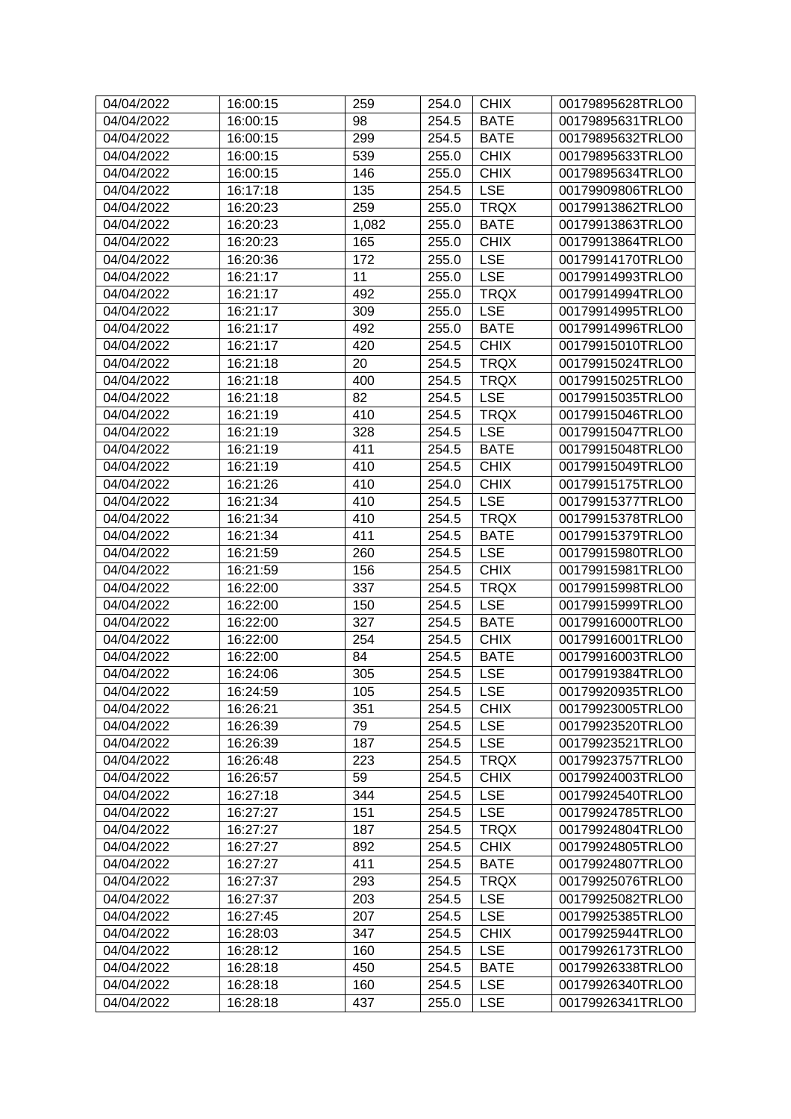| 04/04/2022               | 16:00:15             | 259        | 254.0          | <b>CHIX</b>               | 00179895628TRLO0                     |
|--------------------------|----------------------|------------|----------------|---------------------------|--------------------------------------|
| 04/04/2022               | 16:00:15             | 98         | 254.5          | <b>BATE</b>               | 00179895631TRLO0                     |
| 04/04/2022               | 16:00:15             | 299        | 254.5          | <b>BATE</b>               | 00179895632TRLO0                     |
| 04/04/2022               | 16:00:15             | 539        | 255.0          | <b>CHIX</b>               | 00179895633TRLO0                     |
| 04/04/2022               | 16:00:15             | 146        | 255.0          | <b>CHIX</b>               | 00179895634TRLO0                     |
| 04/04/2022               | 16:17:18             | 135        | 254.5          | <b>LSE</b>                | 00179909806TRLO0                     |
| 04/04/2022               | 16:20:23             | 259        | 255.0          | <b>TRQX</b>               | 00179913862TRLO0                     |
| 04/04/2022               | 16:20:23             | 1,082      | 255.0          | <b>BATE</b>               | 00179913863TRLO0                     |
| 04/04/2022               | 16:20:23             | 165        | 255.0          | <b>CHIX</b>               | 00179913864TRLO0                     |
| 04/04/2022               | 16:20:36             | 172        | 255.0          | <b>LSE</b>                | 00179914170TRLO0                     |
| 04/04/2022               | 16:21:17             | 11         | 255.0          | <b>LSE</b>                | 00179914993TRLO0                     |
| 04/04/2022               | 16:21:17             | 492        | 255.0          | <b>TRQX</b>               | 00179914994TRLO0                     |
| 04/04/2022               | 16:21:17             | 309        | 255.0          | <b>LSE</b>                | 00179914995TRLO0                     |
| 04/04/2022               | 16:21:17             | 492        | 255.0          | <b>BATE</b>               | 00179914996TRLO0                     |
| 04/04/2022               | 16:21:17             | 420        | 254.5          | <b>CHIX</b>               | 00179915010TRLO0                     |
| 04/04/2022               | 16:21:18             | 20         | 254.5          | <b>TRQX</b>               | 00179915024TRLO0                     |
| 04/04/2022               | 16:21:18             | 400        | 254.5          | <b>TRQX</b>               | 00179915025TRLO0                     |
| 04/04/2022               | 16:21:18             | 82         | 254.5          | <b>LSE</b>                | 00179915035TRLO0                     |
| 04/04/2022               | 16:21:19             | 410        | 254.5          | <b>TRQX</b>               | 00179915046TRLO0                     |
| 04/04/2022               | 16:21:19             | 328        | 254.5          | <b>LSE</b>                | 00179915047TRLO0                     |
| 04/04/2022               | 16:21:19             | 411        | 254.5          | <b>BATE</b>               | 00179915048TRLO0                     |
| 04/04/2022               | 16:21:19             | 410        | 254.5          | <b>CHIX</b>               | 00179915049TRLO0                     |
| 04/04/2022               | 16:21:26             | 410        | 254.0          | <b>CHIX</b>               | 00179915175TRLO0                     |
| 04/04/2022               |                      | 410        |                | <b>LSE</b>                | 00179915377TRLO0                     |
| 04/04/2022               | 16:21:34<br>16:21:34 | 410        | 254.5          | <b>TRQX</b>               | 00179915378TRLO0                     |
| 04/04/2022               | 16:21:34             | 411        | 254.5<br>254.5 | <b>BATE</b>               | 00179915379TRLO0                     |
| 04/04/2022               | 16:21:59             | 260        | 254.5          | <b>LSE</b>                | 00179915980TRLO0                     |
| 04/04/2022               | 16:21:59             | 156        | 254.5          | <b>CHIX</b>               | 00179915981TRLO0                     |
| 04/04/2022               | 16:22:00             | 337        | 254.5          | <b>TRQX</b>               | 00179915998TRLO0                     |
| 04/04/2022               | 16:22:00             | 150        | 254.5          | <b>LSE</b>                | 00179915999TRLO0                     |
| 04/04/2022               | 16:22:00             | 327        | 254.5          | <b>BATE</b>               | 00179916000TRLO0                     |
| 04/04/2022               | 16:22:00             | 254        | 254.5          | <b>CHIX</b>               | 00179916001TRLO0                     |
| 04/04/2022               | 16:22:00             | 84         | 254.5          | <b>BATE</b>               | 00179916003TRLO0                     |
| 04/04/2022               | 16:24:06             | 305        | 254.5          | <b>LSE</b>                | 00179919384TRLO0                     |
| 04/04/2022               | 16:24:59             | 105        | 254.5          | $ $ LSE                   | 00179920935TRLO0                     |
| 04/04/2022               | 16:26:21             | 351        | 254.5          | <b>CHIX</b>               | 00179923005TRLO0                     |
| 04/04/2022               | 16:26:39             | 79         | 254.5          | <b>LSE</b>                | 00179923520TRLO0                     |
| 04/04/2022               | 16:26:39             | 187        | 254.5          | <b>LSE</b>                | 00179923521TRLO0                     |
| 04/04/2022               | 16:26:48             | 223        | 254.5          | <b>TRQX</b>               | 00179923757TRLO0                     |
| 04/04/2022               |                      | 59         | 254.5          | <b>CHIX</b>               |                                      |
|                          | 16:26:57             | 344        |                |                           | 00179924003TRLO0<br>00179924540TRLO0 |
| 04/04/2022<br>04/04/2022 | 16:27:18             | 151        | 254.5          | <b>LSE</b><br><b>LSE</b>  | 00179924785TRLO0                     |
| 04/04/2022               | 16:27:27             | 187        | 254.5          | <b>TRQX</b>               | 00179924804TRLO0                     |
| 04/04/2022               | 16:27:27<br>16:27:27 | 892        | 254.5<br>254.5 | <b>CHIX</b>               | 00179924805TRLO0                     |
|                          |                      |            |                |                           |                                      |
| 04/04/2022               | 16:27:27             | 411        | 254.5          | <b>BATE</b>               | 00179924807TRLO0                     |
| 04/04/2022               | 16:27:37             | 293        | 254.5          | <b>TRQX</b>               | 00179925076TRLO0                     |
| 04/04/2022               | 16:27:37             | 203        | 254.5          | <b>LSE</b>                | 00179925082TRLO0                     |
| 04/04/2022               | 16:27:45             | 207        | 254.5          | <b>LSE</b>                | 00179925385TRLO0                     |
| 04/04/2022<br>04/04/2022 | 16:28:03<br>16:28:12 | 347<br>160 | 254.5<br>254.5 | <b>CHIX</b><br><b>LSE</b> | 00179925944TRLO0<br>00179926173TRLO0 |
| 04/04/2022               | 16:28:18             | 450        | 254.5          | <b>BATE</b>               | 00179926338TRLO0                     |
| 04/04/2022               | 16:28:18             | 160        |                | <b>LSE</b>                |                                      |
|                          |                      |            | 254.5          |                           | 00179926340TRLO0                     |
| 04/04/2022               | 16:28:18             | 437        | 255.0          | <b>LSE</b>                | 00179926341TRLO0                     |